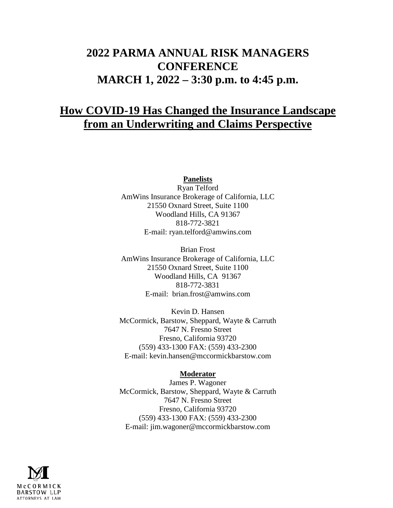# **2022 PARMA ANNUAL RISK MANAGERS CONFERENCE MARCH 1, 2022 – 3:30 p.m. to 4:45 p.m.**

# **How COVID-19 Has Changed the Insurance Landscape from an Underwriting and Claims Perspective**

**Panelists**

Ryan Telford AmWins Insurance Brokerage of California, LLC 21550 Oxnard Street, Suite 1100 Woodland Hills, CA 91367 818-772-3821 E-mail: ryan.telford@amwins.com

Brian Frost AmWins Insurance Brokerage of California, LLC 21550 Oxnard Street, Suite 1100 Woodland Hills, CA 91367 818-772-3831 E-mail: brian.frost@amwins.com

Kevin D. Hansen McCormick, Barstow, Sheppard, Wayte & Carruth 7647 N. Fresno Street Fresno, California 93720 (559) 433-1300 FAX: (559) 433-2300 E-mail: kevin.hansen@mccormickbarstow.com

#### **Moderator**

James P. Wagoner McCormick, Barstow, Sheppard, Wayte & Carruth 7647 N. Fresno Street Fresno, California 93720 (559) 433-1300 FAX: (559) 433-2300 E-mail: jim.wagoner@mccormickbarstow.com

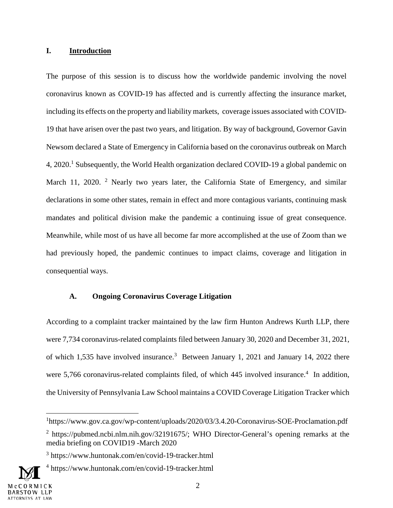#### **I. Introduction**

The purpose of this session is to discuss how the worldwide pandemic involving the novel coronavirus known as COVID-19 has affected and is currently affecting the insurance market, including its effects on the property and liability markets, coverage issues associated with COVID-19 that have arisen over the past two years, and litigation. By way of background, Governor Gavin Newsom declared a State of Emergency in California based on the coronavirus outbreak on March 4, 2020.<sup>1</sup> Subsequently, the World Health organization declared COVID-19 a global pandemic on March 11, 2020. <sup>2</sup> Nearly two years later, the California State of Emergency, and similar declarations in some other states, remain in effect and more contagious variants, continuing mask mandates and political division make the pandemic a continuing issue of great consequence. Meanwhile, while most of us have all become far more accomplished at the use of Zoom than we had previously hoped, the pandemic continues to impact claims, coverage and litigation in consequential ways.

#### **A. Ongoing Coronavirus Coverage Litigation**

According to a complaint tracker maintained by the law firm Hunton Andrews Kurth LLP, there were 7,734 coronavirus-related complaints filed between January 30, 2020 and December 31, 2021, of which 1,535 have involved insurance.<sup>3</sup> Between January 1, 2021 and January 14, 2022 there were 5,766 coronavirus-related complaints filed, of which 445 involved insurance.<sup>4</sup> In addition, the University of Pennsylvania Law School maintains a COVID Coverage Litigation Tracker which

<sup>&</sup>lt;sup>1</sup>https://www.gov.ca.gov/wp-content/uploads/2020/03/3.4.20-Coronavirus-SOE-Proclamation.pdf

<sup>&</sup>lt;sup>2</sup> https://pubmed.ncbi.nlm.nih.gov/32191675/; WHO Director-General's opening remarks at the media briefing on COVID19 -March 2020

<sup>3</sup> https://www.huntonak.com/en/covid-19-tracker.html

<sup>4</sup> https://www.huntonak.com/en/covid-19-tracker.html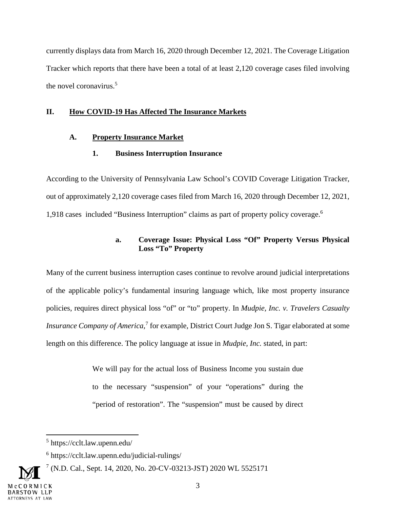currently displays data from March 16, 2020 through December 12, 2021. The Coverage Litigation Tracker which reports that there have been a total of at least 2,120 coverage cases filed involving the novel coronavirus.<sup>5</sup>

#### **II. How COVID-19 Has Affected The Insurance Markets**

#### **A. Property Insurance Market**

#### **1. Business Interruption Insurance**

According to the University of Pennsylvania Law School's COVID Coverage Litigation Tracker, out of approximately 2,120 coverage cases filed from March 16, 2020 through December 12, 2021, 1,918 cases included "Business Interruption" claims as part of property policy coverage.<sup>6</sup>

## **a. Coverage Issue: Physical Loss "Of" Property Versus Physical Loss "To" Property**

Many of the current business interruption cases continue to revolve around judicial interpretations of the applicable policy's fundamental insuring language which, like most property insurance policies, requires direct physical loss "of" or "to" property. In *Mudpie, Inc. v. Travelers Casualty Insurance Company of America*,<sup>7</sup> for example, District Court Judge Jon S. Tigar elaborated at some length on this difference. The policy language at issue in *Mudpie, Inc.* stated, in part:

> We will pay for the actual loss of Business Income you sustain due to the necessary "suspension" of your "operations" during the "period of restoration". The "suspension" must be caused by direct

<sup>5</sup> https://cclt.law.upenn.edu/

<sup>6</sup> https://cclt.law.upenn.edu/judicial-rulings/

<sup>7</sup> (N.D. Cal., Sept. 14, 2020, No. 20-CV-03213-JST) 2020 WL 5525171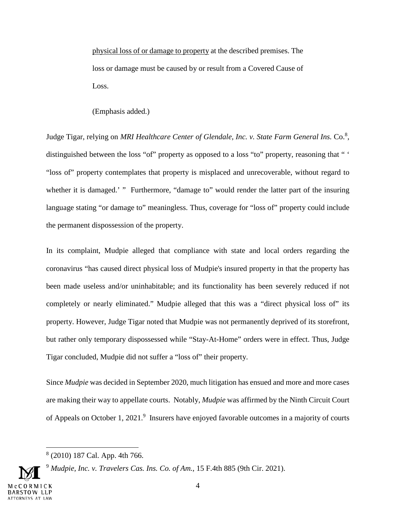physical loss of or damage to property at the described premises. The loss or damage must be caused by or result from a Covered Cause of Loss.

(Emphasis added.)

Judge Tigar, relying on *MRI Healthcare Center of Glendale, Inc. v. State Farm General Ins.* Co.<sup>8</sup>, distinguished between the loss "of" property as opposed to a loss "to" property, reasoning that " ' "loss of" property contemplates that property is misplaced and unrecoverable, without regard to whether it is damaged.' " Furthermore, "damage to" would render the latter part of the insuring language stating "or damage to" meaningless. Thus, coverage for "loss of" property could include the permanent dispossession of the property.

In its complaint, Mudpie alleged that compliance with state and local orders regarding the coronavirus "has caused direct physical loss of Mudpie's insured property in that the property has been made useless and/or uninhabitable; and its functionality has been severely reduced if not completely or nearly eliminated." Mudpie alleged that this was a "direct physical loss of" its property. However, Judge Tigar noted that Mudpie was not permanently deprived of its storefront, but rather only temporary dispossessed while "Stay-At-Home" orders were in effect. Thus, Judge Tigar concluded, Mudpie did not suffer a "loss of" their property.

Since *Mudpie* was decided in September 2020, much litigation has ensued and more and more cases are making their way to appellate courts. Notably, *Mudpie* was affirmed by the Ninth Circuit Court of Appeals on October 1, 2021.<sup>9</sup> Insurers have enjoyed favorable outcomes in a majority of courts

<sup>9</sup> *Mudpie, Inc. v. Travelers Cas. Ins. Co. of Am.*, 15 F.4th 885 (9th Cir. 2021).

<sup>8</sup> (2010) 187 Cal. App. 4th 766.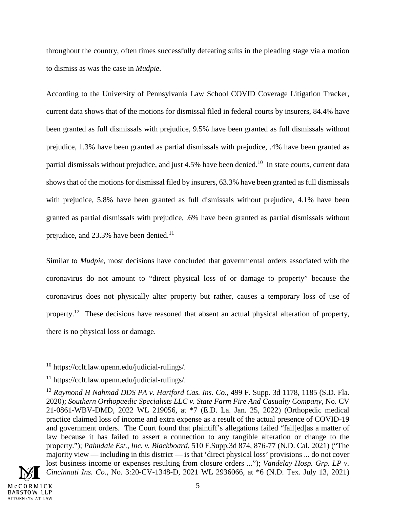throughout the country, often times successfully defeating suits in the pleading stage via a motion to dismiss as was the case in *Mudpie*.

According to the University of Pennsylvania Law School COVID Coverage Litigation Tracker, current data shows that of the motions for dismissal filed in federal courts by insurers, 84.4% have been granted as full dismissals with prejudice, 9.5% have been granted as full dismissals without prejudice, 1.3% have been granted as partial dismissals with prejudice, .4% have been granted as partial dismissals without prejudice, and just 4.5% have been denied.<sup>10</sup> In state courts, current data shows that of the motions for dismissal filed by insurers, 63.3% have been granted as full dismissals with prejudice, 5.8% have been granted as full dismissals without prejudice, 4.1% have been granted as partial dismissals with prejudice, .6% have been granted as partial dismissals without prejudice, and 23.3% have been denied.<sup>11</sup>

Similar to *Mudpie,* most decisions have concluded that governmental orders associated with the coronavirus do not amount to "direct physical loss of or damage to property" because the coronavirus does not physically alter property but rather, causes a temporary loss of use of property.<sup>12</sup> These decisions have reasoned that absent an actual physical alteration of property, there is no physical loss or damage.

<sup>&</sup>lt;sup>12</sup> Raymond H Nahmad DDS PA v. Hartford Cas. Ins. Co., 499 F. Supp. 3d 1178, 1185 (S.D. Fla. 2020); *Southern Orthopaedic Specialists LLC v. State Farm Fire And Casualty Company*, No. CV 21-0861-WBV-DMD, 2022 WL 219056, at \*7 (E.D. La. Jan. 25, 2022) (Orthopedic medical practice claimed loss of income and extra expense as a result of the actual presence of COVID-19 and government orders. The Court found that plaintiff's allegations failed "fail[ed]as a matter of law because it has failed to assert a connection to any tangible alteration or change to the property."); *Palmdale Est., Inc. v. Blackboard*, 510 F.Supp.3d 874, 876-77 (N.D. Cal. 2021) ("The majority view — including in this district — is that 'direct physical loss' provisions ... do not cover lost business income or expenses resulting from closure orders ..."); *Vandelay Hosp. Grp. LP v. Cincinnati Ins. Co.,* No. 3:20-CV-1348-D, 2021 WL 2936066, at \*6 (N.D. Tex. July 13, 2021)



<sup>10</sup> https://cclt.law.upenn.edu/judicial-rulings/.

<sup>11</sup> https://cclt.law.upenn.edu/judicial-rulings/.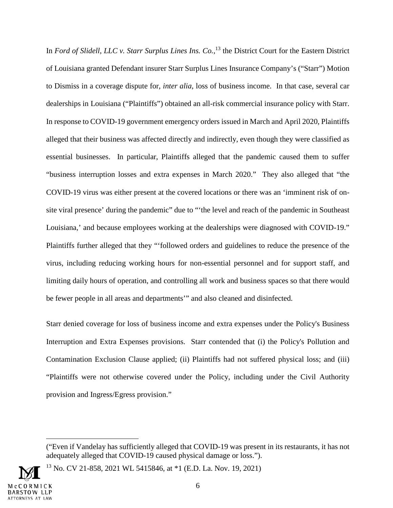In *Ford of Slidell, LLC v. Starr Surplus Lines Ins. Co.*, <sup>13</sup> the District Court for the Eastern District of Louisiana granted Defendant insurer Starr Surplus Lines Insurance Company's ("Starr") Motion to Dismiss in a coverage dispute for, *inter alia,* loss of business income. In that case, several car dealerships in Louisiana ("Plaintiffs") obtained an all-risk commercial insurance policy with Starr. In response to COVID-19 government emergency orders issued in March and April 2020, Plaintiffs alleged that their business was affected directly and indirectly, even though they were classified as essential businesses. In particular, Plaintiffs alleged that the pandemic caused them to suffer "business interruption losses and extra expenses in March 2020." They also alleged that "the COVID-19 virus was either present at the covered locations or there was an 'imminent risk of onsite viral presence' during the pandemic" due to "'the level and reach of the pandemic in Southeast Louisiana,' and because employees working at the dealerships were diagnosed with COVID-19." Plaintiffs further alleged that they "'followed orders and guidelines to reduce the presence of the virus, including reducing working hours for non-essential personnel and for support staff, and limiting daily hours of operation, and controlling all work and business spaces so that there would be fewer people in all areas and departments'" and also cleaned and disinfected.

Starr denied coverage for loss of business income and extra expenses under the Policy's Business Interruption and Extra Expenses provisions. Starr contended that (i) the Policy's Pollution and Contamination Exclusion Clause applied; (ii) Plaintiffs had not suffered physical loss; and (iii) "Plaintiffs were not otherwise covered under the Policy, including under the Civil Authority provision and Ingress/Egress provision."

<sup>13</sup> No. CV 21-858, 2021 WL 5415846, at \*1 (E.D. La. Nov. 19, 2021)



<sup>(&</sup>quot;Even if Vandelay has sufficiently alleged that COVID-19 was present in its restaurants, it has not adequately alleged that COVID-19 caused physical damage or loss.").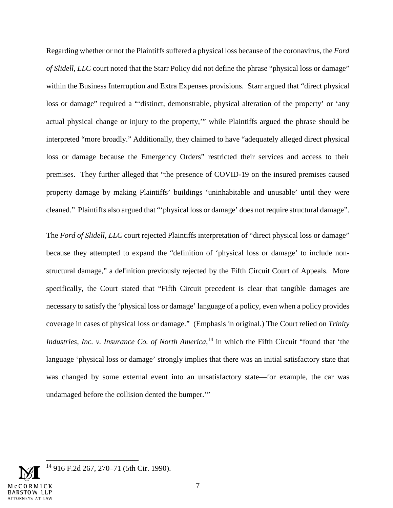Regarding whether or not the Plaintiffs suffered a physical loss because of the coronavirus, the *Ford of Slidell, LLC* court noted that the Starr Policy did not define the phrase "physical loss or damage" within the Business Interruption and Extra Expenses provisions. Starr argued that "direct physical loss or damage" required a "'distinct, demonstrable, physical alteration of the property' or 'any actual physical change or injury to the property,'" while Plaintiffs argued the phrase should be interpreted "more broadly." Additionally, they claimed to have "adequately alleged direct physical loss or damage because the Emergency Orders" restricted their services and access to their premises. They further alleged that "the presence of COVID-19 on the insured premises caused property damage by making Plaintiffs' buildings 'uninhabitable and unusable' until they were cleaned." Plaintiffs also argued that "'physical loss or damage' does not require structural damage".

The *Ford of Slidell, LLC* court rejected Plaintiffs interpretation of "direct physical loss or damage" because they attempted to expand the "definition of 'physical loss or damage' to include nonstructural damage," a definition previously rejected by the Fifth Circuit Court of Appeals. More specifically, the Court stated that "Fifth Circuit precedent is clear that tangible damages are necessary to satisfy the 'physical loss or damage' language of a policy, even when a policy provides coverage in cases of physical loss *or* damage." (Emphasis in original.) The Court relied on *Trinity Industries, Inc. v. Insurance Co. of North America*,<sup>14</sup> in which the Fifth Circuit "found that 'the language 'physical loss or damage' strongly implies that there was an initial satisfactory state that was changed by some external event into an unsatisfactory state—for example, the car was undamaged before the collision dented the bumper.'"

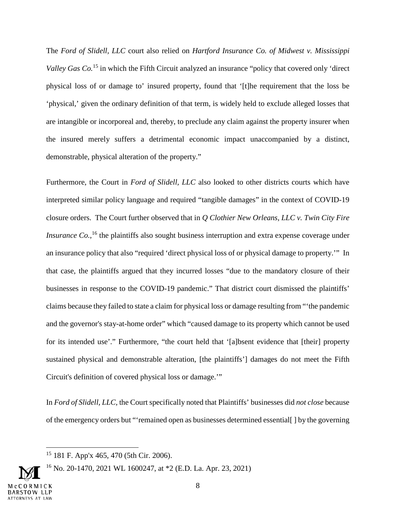The *Ford of Slidell, LLC* court also relied on *Hartford Insurance Co. of Midwest v. Mississippi Valley Gas Co.*<sup>15</sup> in which the Fifth Circuit analyzed an insurance "policy that covered only 'direct" physical loss of or damage to' insured property, found that '[t]he requirement that the loss be 'physical,' given the ordinary definition of that term, is widely held to exclude alleged losses that are intangible or incorporeal and, thereby, to preclude any claim against the property insurer when the insured merely suffers a detrimental economic impact unaccompanied by a distinct, demonstrable, physical alteration of the property."

Furthermore, the Court in *Ford of Slidell, LLC* also looked to other districts courts which have interpreted similar policy language and required "tangible damages" in the context of COVID-19 closure orders. The Court further observed that in *Q Clothier New Orleans, LLC v. Twin City Fire Insurance Co.*,<sup>16</sup> the plaintiffs also sought business interruption and extra expense coverage under an insurance policy that also "required 'direct physical loss of or physical damage to property.'" In that case, the plaintiffs argued that they incurred losses "due to the mandatory closure of their businesses in response to the COVID-19 pandemic." That district court dismissed the plaintiffs' claims because they failed to state a claim for physical loss or damage resulting from "'the pandemic and the governor's stay-at-home order" which "caused damage to its property which cannot be used for its intended use'." Furthermore, "the court held that '[a]bsent evidence that [their] property sustained physical and demonstrable alteration, [the plaintiffs'] damages do not meet the Fifth Circuit's definition of covered physical loss or damage.'"

In *Ford of Slidell, LLC*, the Court specifically noted that Plaintiffs' businesses did *not close* because of the emergency orders but "'remained open as businesses determined essential[ ] by the governing

<sup>15</sup> 181 F. App'x 465, 470 (5th Cir. 2006).

<sup>&</sup>lt;sup>16</sup> No. 20-1470, 2021 WL 1600247, at  $*2$  (E.D. La. Apr. 23, 2021)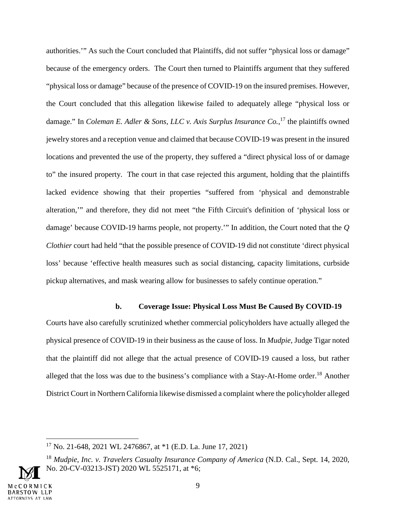authorities.'" As such the Court concluded that Plaintiffs, did not suffer "physical loss or damage" because of the emergency orders. The Court then turned to Plaintiffs argument that they suffered "physical loss or damage" because of the presence of COVID-19 on the insured premises. However, the Court concluded that this allegation likewise failed to adequately allege "physical loss or damage." In *Coleman E. Adler & Sons, LLC v. Axis Surplus Insurance Co.*, <sup>17</sup> the plaintiffs owned jewelry stores and a reception venue and claimed that because COVID-19 was present in the insured locations and prevented the use of the property, they suffered a "direct physical loss of or damage to" the insured property. The court in that case rejected this argument, holding that the plaintiffs lacked evidence showing that their properties "suffered from 'physical and demonstrable alteration,'" and therefore, they did not meet "the Fifth Circuit's definition of 'physical loss or damage' because COVID-19 harms people, not property.'" In addition, the Court noted that the *Q Clothier* court had held "that the possible presence of COVID-19 did not constitute 'direct physical loss' because 'effective health measures such as social distancing, capacity limitations, curbside pickup alternatives, and mask wearing allow for businesses to safely continue operation."

#### **b. Coverage Issue: Physical Loss Must Be Caused By COVID-19**

Courts have also carefully scrutinized whether commercial policyholders have actually alleged the physical presence of COVID-19 in their business as the cause of loss. In *Mudpie*, Judge Tigar noted that the plaintiff did not allege that the actual presence of COVID-19 caused a loss, but rather alleged that the loss was due to the business's compliance with a Stay-At-Home order.<sup>18</sup> Another District Court in Northern California likewise dismissed a complaint where the policyholder alleged

<sup>17</sup> No. 21-648, 2021 WL 2476867, at \*1 (E.D. La. June 17, 2021)

<sup>18</sup> *Mudpie, Inc. v. Travelers Casualty Insurance Company of America* (N.D. Cal., Sept. 14, 2020, No. 20-CV-03213-JST) 2020 WL 5525171, at \*6;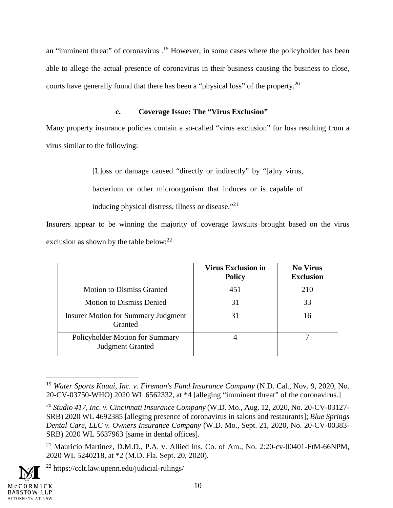an "imminent threat" of coronavirus .<sup>19</sup> However, in some cases where the policyholder has been able to allege the actual presence of coronavirus in their business causing the business to close, courts have generally found that there has been a "physical loss" of the property.<sup>20</sup>

## **c. Coverage Issue: The "Virus Exclusion"**

Many property insurance policies contain a so-called "virus exclusion" for loss resulting from a virus similar to the following:

[L]oss or damage caused "directly or indirectly" by "[a]ny virus,

bacterium or other microorganism that induces or is capable of

inducing physical distress, illness or disease."<sup>21</sup>

Insurers appear to be winning the majority of coverage lawsuits brought based on the virus exclusion as shown by the table below:<sup>22</sup>

|                                                            | <b>Virus Exclusion in</b><br><b>Policy</b> | <b>No Virus</b><br><b>Exclusion</b> |
|------------------------------------------------------------|--------------------------------------------|-------------------------------------|
| <b>Motion to Dismiss Granted</b>                           | 451                                        | 210                                 |
| <b>Motion to Dismiss Denied</b>                            | 31                                         | 33                                  |
| <b>Insurer Motion for Summary Judgment</b><br>Granted      | 31                                         | 16                                  |
| Policyholder Motion for Summary<br><b>Judgment Granted</b> |                                            |                                     |

<sup>19</sup> *Water Sports Kauai, Inc. v. Fireman's Fund Insurance Company* (N.D. Cal., Nov. 9, 2020, No. 20-CV-03750-WHO) 2020 WL 6562332, at \*4 [alleging "imminent threat" of the coronavirus.]

<sup>22</sup> https://cclt.law.upenn.edu/judicial-rulings/



<sup>20</sup> *Studio 417, Inc. v. Cincinnati Insurance Company* (W.D. Mo., Aug. 12, 2020, No. 20-CV-03127- SRB) 2020 WL 4692385 [alleging presence of coronavirus in salons and restaurants]; *Blue Springs Dental Care, LLC v. Owners Insurance Company* (W.D. Mo., Sept. 21, 2020, No. 20-CV-00383- SRB) 2020 WL 5637963 [same in dental offices].

<sup>&</sup>lt;sup>21</sup> Mauricio Martinez, D.M.D., P.A. v. Allied Ins. Co. of Am., No. 2:20-cv-00401-FtM-66NPM, 2020 WL 5240218, at \*2 (M.D. Fla. Sept. 20, 2020).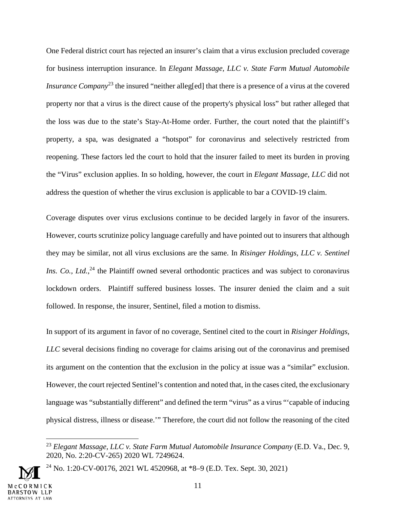One Federal district court has rejected an insurer's claim that a virus exclusion precluded coverage for business interruption insurance. In *Elegant Massage, LLC v. State Farm Mutual Automobile Insurance Company*<sup>23</sup> the insured "neither alleg[ed] that there is a presence of a virus at the covered property nor that a virus is the direct cause of the property's physical loss" but rather alleged that the loss was due to the state's Stay-At-Home order. Further, the court noted that the plaintiff's property, a spa, was designated a "hotspot" for coronavirus and selectively restricted from reopening. These factors led the court to hold that the insurer failed to meet its burden in proving the "Virus" exclusion applies. In so holding, however, the court in *Elegant Massage, LLC* did not address the question of whether the virus exclusion is applicable to bar a COVID-19 claim.

Coverage disputes over virus exclusions continue to be decided largely in favor of the insurers. However, courts scrutinize policy language carefully and have pointed out to insurers that although they may be similar, not all virus exclusions are the same. In *Risinger Holdings, LLC v. Sentinel*  Ins. Co., Ltd.,<sup>24</sup> the Plaintiff owned several orthodontic practices and was subject to coronavirus lockdown orders. Plaintiff suffered business losses. The insurer denied the claim and a suit followed. In response, the insurer, Sentinel, filed a motion to dismiss.

In support of its argument in favor of no coverage, Sentinel cited to the court in *Risinger Holdings, LLC* several decisions finding no coverage for claims arising out of the coronavirus and premised its argument on the contention that the exclusion in the policy at issue was a "similar" exclusion. However, the court rejected Sentinel's contention and noted that, in the cases cited, the exclusionary language was "substantially different" and defined the term "virus" as a virus "'capable of inducing physical distress, illness or disease.'" Therefore, the court did not follow the reasoning of the cited

<sup>24</sup> No. 1:20-CV-00176, 2021 WL 4520968, at  $*8-9$  (E.D. Tex. Sept. 30, 2021)



<sup>23</sup> *Elegant Massage, LLC v. State Farm Mutual Automobile Insurance Company* (E.D. Va., Dec. 9, 2020, No. 2:20-CV-265) 2020 WL 7249624.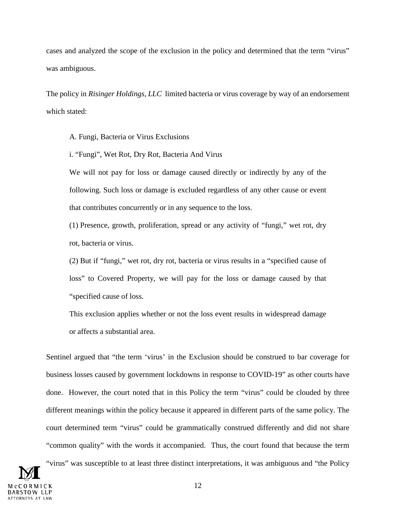cases and analyzed the scope of the exclusion in the policy and determined that the term "virus" was ambiguous.

The policy in *Risinger Holdings, LLC* limited bacteria or virus coverage by way of an endorsement which stated:

A. Fungi, Bacteria or Virus Exclusions

i. "Fungi", Wet Rot, Dry Rot, Bacteria And Virus

We will not pay for loss or damage caused directly or indirectly by any of the following. Such loss or damage is excluded regardless of any other cause or event that contributes concurrently or in any sequence to the loss.

(1) Presence, growth, proliferation, spread or any activity of "fungi," wet rot, dry rot, bacteria or virus.

(2) But if "fungi," wet rot, dry rot, bacteria or virus results in a "specified cause of loss" to Covered Property, we will pay for the loss or damage caused by that "specified cause of loss.

This exclusion applies whether or not the loss event results in widespread damage or affects a substantial area.

Sentinel argued that "the term 'virus' in the Exclusion should be construed to bar coverage for business losses caused by government lockdowns in response to COVID-19" as other courts have done. However, the court noted that in this Policy the term "virus" could be clouded by three different meanings within the policy because it appeared in different parts of the same policy. The court determined term "virus" could be grammatically construed differently and did not share "common quality" with the words it accompanied. Thus, the court found that because the term

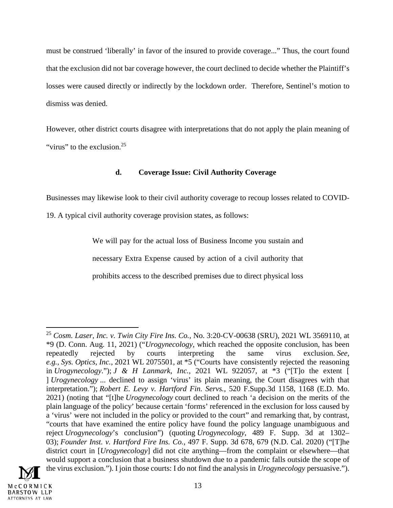must be construed 'liberally' in favor of the insured to provide coverage..." Thus, the court found that the exclusion did not bar coverage however, the court declined to decide whether the Plaintiff's losses were caused directly or indirectly by the lockdown order. Therefore, Sentinel's motion to dismiss was denied.

However, other district courts disagree with interpretations that do not apply the plain meaning of "virus" to the exclusion.<sup>25</sup>

## **d. Coverage Issue: Civil Authority Coverage**

Businesses may likewise look to their civil authority coverage to recoup losses related to COVID-

19. A typical civil authority coverage provision states, as follows:

We will pay for the actual loss of Business Income you sustain and necessary Extra Expense caused by action of a civil authority that prohibits access to the described premises due to direct physical loss

<sup>25</sup> *Cosm. Laser, Inc. v. Twin City Fire Ins. Co.,* No. 3:20-CV-00638 (SRU), 2021 WL 3569110, at \*9 (D. Conn. Aug. 11, 2021) ("*Urogynecology,* which reached the opposite conclusion, has been repeatedly rejected by courts interpreting the same virus exclusion. *See, e.g., Sys. Optics, Inc.*, 2021 WL 2075501, at \*5 ("Courts have consistently rejected the reasoning in *Urogynecology*."); *J & H Lanmark, Inc.*, 2021 WL 922057, at \*3 ("[T]o the extent [ ] *Urogynecology* ... declined to assign 'virus' its plain meaning, the Court disagrees with that interpretation."); *Robert E. Levy v. Hartford Fin. Servs.*, 520 F.Supp.3d 1158, 1168 (E.D. Mo. 2021) (noting that "[t]he *Urogynecology* court declined to reach 'a decision on the merits of the plain language of the policy' because certain 'forms' referenced in the exclusion for loss caused by a 'virus' were not included in the policy or provided to the court" and remarking that, by contrast, "courts that have examined the entire policy have found the policy language unambiguous and reject *Urogynecology*'s conclusion") (quoting *Urogynecology*, 489 F. Supp. 3d at 1302– 03); *Founder Inst. v. Hartford Fire Ins. Co.*, 497 F. Supp. 3d 678, 679 (N.D. Cal. 2020) ("[T]he district court in [*Urogynecology*] did not cite anything—from the complaint or elsewhere—that would support a conclusion that a business shutdown due to a pandemic falls outside the scope of the virus exclusion."). I join those courts: I do not find the analysis in *Urogynecology* persuasive.").

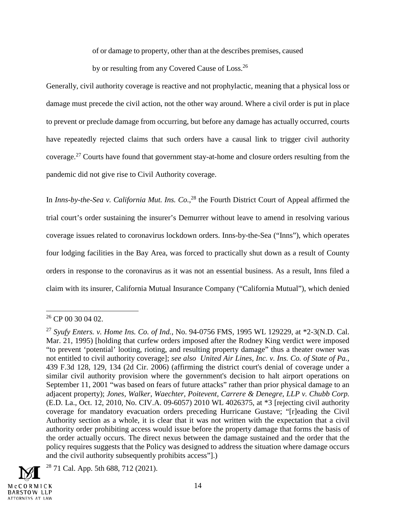of or damage to property, other than at the describes premises, caused

by or resulting from any Covered Cause of Loss.<sup>26</sup>

Generally, civil authority coverage is reactive and not prophylactic, meaning that a physical loss or damage must precede the civil action, not the other way around. Where a civil order is put in place to prevent or preclude damage from occurring, but before any damage has actually occurred, courts have repeatedly rejected claims that such orders have a causal link to trigger civil authority coverage.<sup>27</sup> Courts have found that government stay-at-home and closure orders resulting from the pandemic did not give rise to Civil Authority coverage.

In *Inns-by-the-Sea v. California Mut. Ins. Co.*,<sup>28</sup> the Fourth District Court of Appeal affirmed the trial court's order sustaining the insurer's Demurrer without leave to amend in resolving various coverage issues related to coronavirus lockdown orders. Inns-by-the-Sea ("Inns"), which operates four lodging facilities in the Bay Area, was forced to practically shut down as a result of County orders in response to the coronavirus as it was not an essential business. As a result, Inns filed a claim with its insurer, California Mutual Insurance Company ("California Mutual"), which denied

<sup>27</sup> *Syufy Enters. v. Home Ins. Co. of Ind.*, No. 94-0756 FMS, 1995 WL 129229, at \*2-3(N.D. Cal. Mar. 21, 1995) [holding that curfew orders imposed after the Rodney King verdict were imposed "to prevent 'potential' looting, rioting, and resulting property damage" thus a theater owner was not entitled to civil authority coverage]; *see also United Air Lines, Inc. v. Ins. Co. of State of Pa.*, 439 F.3d 128, 129, 134 (2d Cir. 2006) (affirming the district court's denial of coverage under a similar civil authority provision where the government's decision to halt airport operations on September 11, 2001 "was based on fears of future attacks" rather than prior physical damage to an adjacent property); *Jones, Walker, Waechter, Poitevent, Carrere & Denegre, LLP v. Chubb Corp.* (E.D. La., Oct. 12, 2010, No. CIV.A. 09-6057) 2010 WL 4026375, at \*3 [rejecting civil authority coverage for mandatory evacuation orders preceding Hurricane Gustave; "[r]eading the Civil Authority section as a whole, it is clear that it was not written with the expectation that a civil authority order prohibiting access would issue before the property damage that forms the basis of the order actually occurs. The direct nexus between the damage sustained and the order that the policy requires suggests that the Policy was designed to address the situation where damage occurs and the civil authority subsequently prohibits access"].)



 $26$  CP 00 30 04 02.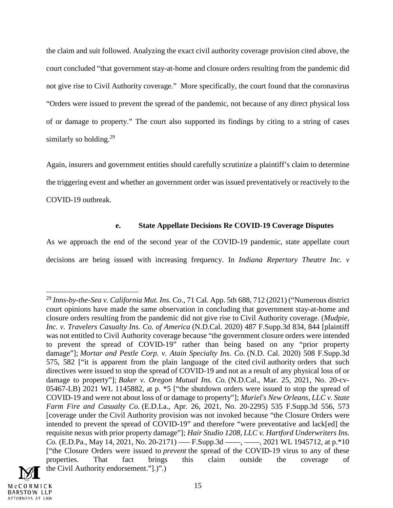the claim and suit followed. Analyzing the exact civil authority coverage provision cited above, the court concluded "that government stay-at-home and closure orders resulting from the pandemic did not give rise to Civil Authority coverage." More specifically, the court found that the coronavirus "Orders were issued to prevent the spread of the pandemic, not because of any direct physical loss of or damage to property." The court also supported its findings by citing to a string of cases similarly so holding.<sup>29</sup>

Again, insurers and government entities should carefully scrutinize a plaintiff's claim to determine the triggering event and whether an government order was issued preventatively or reactively to the COVID-19 outbreak.

#### **e. State Appellate Decisions Re COVID-19 Coverage Disputes**

As we approach the end of the second year of the COVID-19 pandemic, state appellate court decisions are being issued with increasing frequency. In *Indiana Repertory Theatre Inc. v* 

<sup>29</sup> *Inns-by-the-Sea v. California Mut. Ins. Co.*, 71 Cal. App. 5th 688, 712 (2021) ("Numerous district court opinions have made the same observation in concluding that government stay-at-home and closure orders resulting from the pandemic did not give rise to Civil Authority coverage. (*Mudpie, Inc. v. Travelers Casualty Ins. Co. of America* (N.D.Cal. 2020) 487 F.Supp.3d 834, 844 [plaintiff was not entitled to Civil Authority coverage because "the government closure orders were intended to prevent the spread of COVID-19" rather than being based on any "prior property damage"]; *Mortar and Pestle Corp. v. Atain Specialty Ins. Co.* (N.D. Cal. 2020) 508 F.Supp.3d 575, 582 ["it is apparent from the plain language of the cited civil authority orders that such directives were issued to stop the spread of COVID-19 and not as a result of any physical loss of or damage to property"]; *Baker v. Oregon Mutual Ins. Co.* (N.D.Cal., Mar. 25, 2021, No. 20-cv-05467-LB) 2021 WL 1145882, at p. \*5 ["the shutdown orders were issued to stop the spread of COVID-19 and were not about loss of or damage to property"]; *Muriel's New Orleans, LLC v. State Farm Fire and Casualty Co.* (E.D.La., Apr. 26, 2021, No. 20-2295) 535 F.Supp.3d 556, 573 [coverage under the Civil Authority provision was not invoked because "the Closure Orders were intended to prevent the spread of COVID-19" and therefore "were preventative and lack[ed] the requisite nexus with prior property damage"]; *Hair Studio 1208, LLC v. Hartford Underwriters Ins. Co.* (E.D.Pa., May 14, 2021, No. 20-2171) — F.Supp.3d — , — , 2021 WL 1945712, at p.\*10 ["the Closure Orders were issued to *prevent* the spread of the COVID-19 virus to any of these properties. That fact brings this claim outside the coverage of the Civil Authority endorsement."].)".)

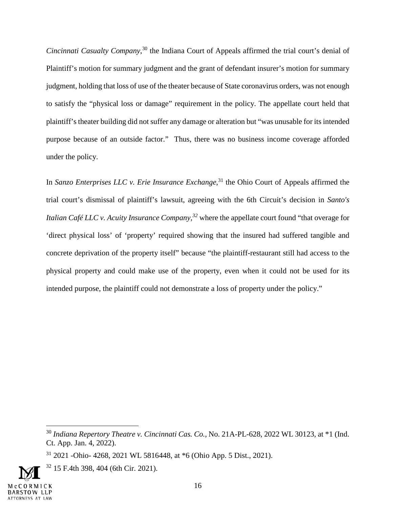*Cincinnati Casualty Company*, <sup>30</sup> the Indiana Court of Appeals affirmed the trial court's denial of Plaintiff's motion for summary judgment and the grant of defendant insurer's motion for summary judgment, holding that loss of use of the theater because of State coronavirus orders, was not enough to satisfy the "physical loss or damage" requirement in the policy. The appellate court held that plaintiff's theater building did not suffer any damage or alteration but "was unusable for its intended purpose because of an outside factor." Thus, there was no business income coverage afforded under the policy.

In *Sanzo Enterprises LLC v. Erie Insurance Exchange*,<sup>31</sup> the Ohio Court of Appeals affirmed the trial court's dismissal of plaintiff's lawsuit, agreeing with the 6th Circuit's decision in *Santo's Italian Café LLC v. Acuity Insurance Company,<sup>32</sup>* where the appellate court found "that overage for 'direct physical loss' of 'property' required showing that the insured had suffered tangible and concrete deprivation of the property itself" because "the plaintiff-restaurant still had access to the physical property and could make use of the property, even when it could not be used for its intended purpose, the plaintiff could not demonstrate a loss of property under the policy."

 $32$  15 F.4th 398, 404 (6th Cir. 2021).



<sup>30</sup> *Indiana Repertory Theatre v. Cincinnati Cas. Co.*, No. 21A-PL-628, 2022 WL 30123, at \*1 (Ind. Ct. App. Jan. 4, 2022).

<sup>31</sup> 2021 -Ohio- 4268, 2021 WL 5816448, at \*6 (Ohio App. 5 Dist., 2021).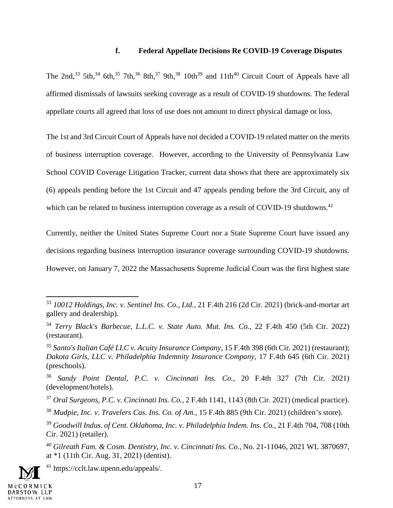#### **f. Federal Appellate Decisions Re COVID-19 Coverage Disputes**

The 2nd,<sup>33</sup> 5th,<sup>34</sup> 6th,<sup>35</sup> 7th,<sup>36</sup> 8th,<sup>37</sup> 9th,<sup>38</sup> 10th<sup>39</sup> and 11th<sup>40</sup> Circuit Court of Appeals have all affirmed dismissals of lawsuits seeking coverage as a result of COVID-19 shutdowns. The federal appellate courts all agreed that loss of use does not amount to direct physical damage or loss.

The 1st and 3rd Circuit Court of Appeals have not decided a COVID-19 related matter on the merits of business interruption coverage. However, according to the University of Pennsylvania Law School COVID Coverage Litigation Tracker, current data shows that there are approximately six (6) appeals pending before the 1st Circuit and 47 appeals pending before the 3rd Circuit, any of which can be related to business interruption coverage as a result of COVID-19 shutdowns.<sup>41</sup>

Currently, neither the United States Supreme Court nor a State Supreme Court have issued any decisions regarding business interruption insurance coverage surrounding COVID-19 shutdowns. However, on January 7, 2022 the Massachusetts Supreme Judicial Court was the first highest state

<sup>41</sup> https://cclt.law.upenn.edu/appeals/.



<sup>33</sup> *10012 Holdings, Inc. v. Sentinel Ins. Co., Ltd.,* 21 F.4th 216 (2d Cir. 2021) (brick-and-mortar art gallery and dealership).

<sup>34</sup> *Terry Black's Barbecue, L.L.C. v. State Auto. Mut. Ins. Co.*, 22 F.4th 450 (5th Cir. 2022) (restaurant).

<sup>35</sup> *Santo's Italian Café LLC v. Acuity Insurance Company*, 15 F.4th 398 (6th Cir. 2021) (restaurant); *Dakota Girls, LLC v. Philadelphia Indemnity Insurance Company,* 17 F.4th 645 (6th Cir. 2021) (preschools).

<sup>36</sup> *Sandy Point Dental, P.C. v. Cincinnati Ins. Co.,* 20 F.4th 327 (7th Cir. 2021) (development/hotels).

<sup>37</sup> *Oral Surgeons, P.C. v. Cincinnati Ins. Co.,* 2 F.4th 1141, 1143 (8th Cir. 2021) (medical practice).

<sup>38</sup> *Mudpie, Inc. v. Travelers Cas. Ins. Co. of Am.,* 15 F.4th 885 (9th Cir. 2021) (children's store).

<sup>39</sup> *Goodwill Indus. of Cent. Oklahoma, Inc. v. Philadelphia Indem. Ins. Co.*, 21 F.4th 704, 708 (10th Cir. 2021) (retailer).

<sup>40</sup> *Gilreath Fam. & Cosm. Dentistry, Inc. v. Cincinnati Ins. Co.,* No. 21-11046, 2021 WL 3870697, at \*1 (11th Cir. Aug. 31, 2021) (dentist).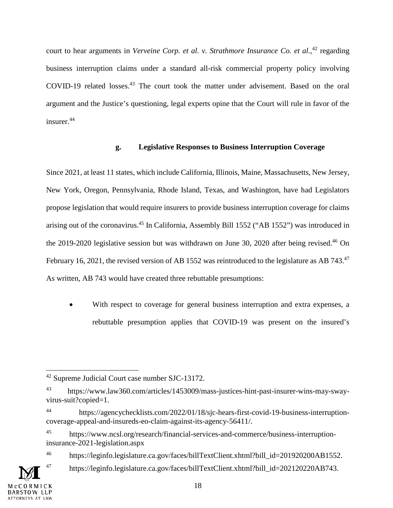court to hear arguments in *Verveine Corp. et al. v. Strathmore Insurance Co. et al.*<sup>42</sup> regarding business interruption claims under a standard all-risk commercial property policy involving COVID-19 related losses.<sup>43</sup> The court took the matter under advisement. Based on the oral argument and the Justice's questioning, legal experts opine that the Court will rule in favor of the insurer.<sup>44</sup>

## **g. Legislative Responses to Business Interruption Coverage**

Since 2021, at least 11 states, which include California, Illinois, Maine, Massachusetts, New Jersey, New York, Oregon, Pennsylvania, Rhode Island, Texas, and Washington, have had Legislators propose legislation that would require insurers to provide business interruption coverage for claims arising out of the coronavirus.<sup>45</sup> In California, Assembly Bill 1552 ("AB 1552") was introduced in the 2019-2020 legislative session but was withdrawn on June 30, 2020 after being revised.<sup>46</sup> On February 16, 2021, the revised version of AB 1552 was reintroduced to the legislature as AB 743.<sup>47</sup> As written, AB 743 would have created three rebuttable presumptions:

 With respect to coverage for general business interruption and extra expenses, a rebuttable presumption applies that COVID-19 was present on the insured's

<sup>42</sup> Supreme Judicial Court case number SJC-13172.

<sup>43</sup> https://www.law360.com/articles/1453009/mass-justices-hint-past-insurer-wins-may-swayvirus-suit?copied=1.

<sup>44</sup> https://agencychecklists.com/2022/01/18/sjc-hears-first-covid-19-business-interruptioncoverage-appeal-and-insureds-eo-claim-against-its-agency-56411/.

<sup>45</sup> https://www.ncsl.org/research/financial-services-and-commerce/business-interruptioninsurance-2021-legislation.aspx

<sup>&</sup>lt;sup>46</sup> https://leginfo.legislature.ca.gov/faces/billTextClient.xhtml?bill\_id=201920200AB1552.

<sup>47</sup> https://leginfo.legislature.ca.gov/faces/billTextClient.xhtml?bill\_id=202120220AB743.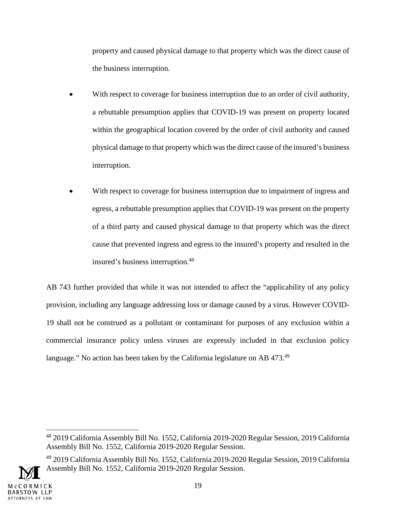property and caused physical damage to that property which was the direct cause of the business interruption.

- With respect to coverage for business interruption due to an order of civil authority, a rebuttable presumption applies that COVID-19 was present on property located within the geographical location covered by the order of civil authority and caused physical damage to that property which was the direct cause of the insured's business interruption.
- With respect to coverage for business interruption due to impairment of ingress and egress, a rebuttable presumption applies that COVID-19 was present on the property of a third party and caused physical damage to that property which was the direct cause that prevented ingress and egress to the insured's property and resulted in the insured's business interruption.<sup>48</sup>

AB 743 further provided that while it was not intended to affect the "applicability of any policy provision, including any language addressing loss or damage caused by a virus. However COVID-19 shall not be construed as a pollutant or contaminant for purposes of any exclusion within a commercial insurance policy unless viruses are expressly included in that exclusion policy language." No action has been taken by the California legislature on AB 473.<sup>49</sup>

<sup>49</sup> 2019 California Assembly Bill No. 1552, California 2019-2020 Regular Session, 2019 California Assembly Bill No. 1552, California 2019-2020 Regular Session.



<sup>48</sup> 2019 California Assembly Bill No. 1552, California 2019-2020 Regular Session, 2019 California Assembly Bill No. 1552, California 2019-2020 Regular Session.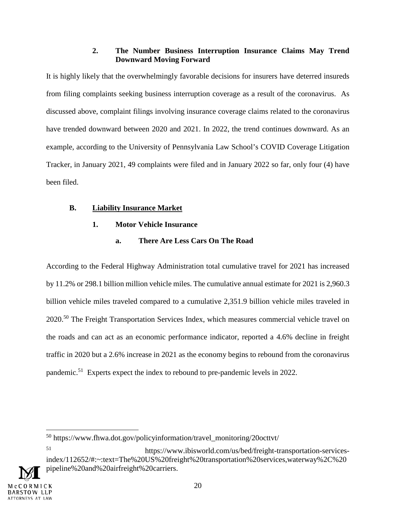## **2. The Number Business Interruption Insurance Claims May Trend Downward Moving Forward**

It is highly likely that the overwhelmingly favorable decisions for insurers have deterred insureds from filing complaints seeking business interruption coverage as a result of the coronavirus. As discussed above, complaint filings involving insurance coverage claims related to the coronavirus have trended downward between 2020 and 2021. In 2022, the trend continues downward. As an example, according to the University of Pennsylvania Law School's COVID Coverage Litigation Tracker, in January 2021, 49 complaints were filed and in January 2022 so far, only four (4) have been filed.

## **B. Liability Insurance Market**

# **1. Motor Vehicle Insurance**

# **a. There Are Less Cars On The Road**

According to the Federal Highway Administration total cumulative travel for 2021 has increased by 11.2% or 298.1 billion million vehicle miles. The cumulative annual estimate for 2021 is 2,960.3 billion vehicle miles traveled compared to a cumulative 2,351.9 billion vehicle miles traveled in 2020.<sup>50</sup> The Freight Transportation Services Index, which measures commercial vehicle travel on the roads and can act as an economic performance indicator, reported a 4.6% decline in freight traffic in 2020 but a 2.6% increase in 2021 as the economy begins to rebound from the coronavirus pandemic.<sup>51</sup> Experts expect the index to rebound to pre-pandemic levels in 2022.

<sup>50</sup> https://www.fhwa.dot.gov/policyinformation/travel\_monitoring/20octtvt/

<sup>51</sup> https://www.ibisworld.com/us/bed/freight-transportation-servicesindex/112652/#:~:text=The%20US%20freight%20transportation%20services,waterway%2C%20 pipeline%20and%20airfreight%20carriers.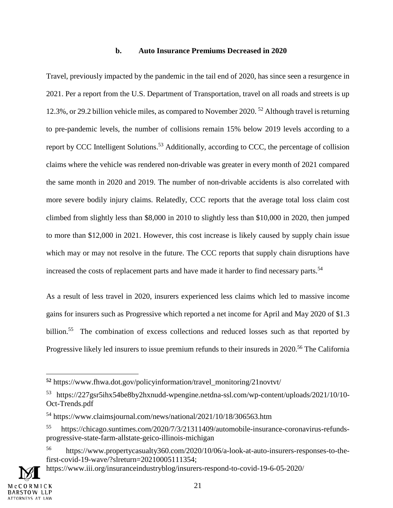#### **b. Auto Insurance Premiums Decreased in 2020**

Travel, previously impacted by the pandemic in the tail end of 2020, has since seen a resurgence in 2021. Per a report from the U.S. Department of Transportation, travel on all roads and streets is up 12.3%, or 29.2 billion vehicle miles, as compared to November 2020.<sup>52</sup> Although travel is returning to pre-pandemic levels, the number of collisions remain 15% below 2019 levels according to a report by CCC Intelligent Solutions.<sup>53</sup> Additionally, according to CCC, the percentage of collision claims where the vehicle was rendered non-drivable was greater in every month of 2021 compared the same month in 2020 and 2019. The number of non-drivable accidents is also correlated with more severe bodily injury claims. Relatedly, CCC reports that the average total loss claim cost climbed from slightly less than \$8,000 in 2010 to slightly less than \$10,000 in 2020, then jumped to more than \$12,000 in 2021. However, this cost increase is likely caused by supply chain issue which may or may not resolve in the future. The CCC reports that supply chain disruptions have increased the costs of replacement parts and have made it harder to find necessary parts.<sup>54</sup>

As a result of less travel in 2020, insurers experienced less claims which led to massive income gains for insurers such as Progressive which reported a net income for April and May 2020 of \$1.3 billion.<sup>55</sup> The combination of excess collections and reduced losses such as that reported by Progressive likely led insurers to issue premium refunds to their insureds in 2020.<sup>56</sup> The California

**<sup>52</sup>** https://www.fhwa.dot.gov/policyinformation/travel\_monitoring/21novtvt/

<sup>53</sup> https://227gsr5ihx54be8by2hxnudd-wpengine.netdna-ssl.com/wp-content/uploads/2021/10/10- Oct-Trends.pdf

<sup>54</sup> https://www.claimsjournal.com/news/national/2021/10/18/306563.htm

<sup>55</sup> https://chicago.suntimes.com/2020/7/3/21311409/automobile-insurance-coronavirus-refundsprogressive-state-farm-allstate-geico-illinois-michigan

<sup>56</sup> https://www.propertycasualty360.com/2020/10/06/a-look-at-auto-insurers-responses-to-thefirst-covid-19-wave/?slreturn=20210005111354;

https://www.iii.org/insuranceindustryblog/insurers-respond-to-covid-19-6-05-2020/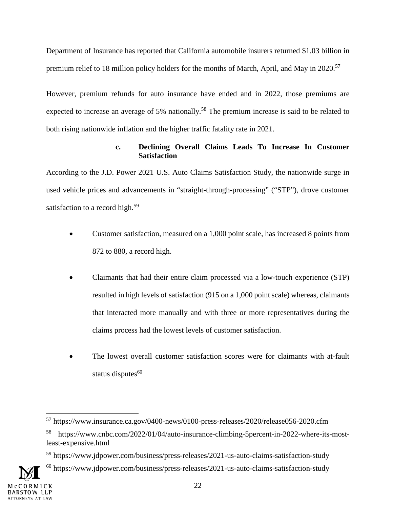Department of Insurance has reported that California automobile insurers returned \$1.03 billion in premium relief to 18 million policy holders for the months of March, April, and May in 2020.<sup>57</sup>

However, premium refunds for auto insurance have ended and in 2022, those premiums are expected to increase an average of 5% nationally.<sup>58</sup> The premium increase is said to be related to both rising nationwide inflation and the higher traffic fatality rate in 2021.

## **c. Declining Overall Claims Leads To Increase In Customer Satisfaction**

According to the J.D. Power 2021 U.S. Auto Claims Satisfaction Study, the nationwide surge in used vehicle prices and advancements in "straight-through-processing" ("STP"), drove customer satisfaction to a record high.<sup>59</sup>

- Customer satisfaction, measured on a 1,000 point scale, has increased 8 points from 872 to 880, a record high.
- Claimants that had their entire claim processed via a low-touch experience (STP) resulted in high levels of satisfaction (915 on a 1,000 point scale) whereas, claimants that interacted more manually and with three or more representatives during the claims process had the lowest levels of customer satisfaction.
- The lowest overall customer satisfaction scores were for claimants with at-fault status disputes $60$

<sup>57</sup> https://www.insurance.ca.gov/0400-news/0100-press-releases/2020/release056-2020.cfm

<sup>58</sup> https://www.cnbc.com/2022/01/04/auto-insurance-climbing-5percent-in-2022-where-its-mostleast-expensive.html

<sup>59</sup> https://www.jdpower.com/business/press-releases/2021-us-auto-claims-satisfaction-study

<sup>&</sup>lt;sup>60</sup> https://www.jdpower.com/business/press-releases/2021-us-auto-claims-satisfaction-study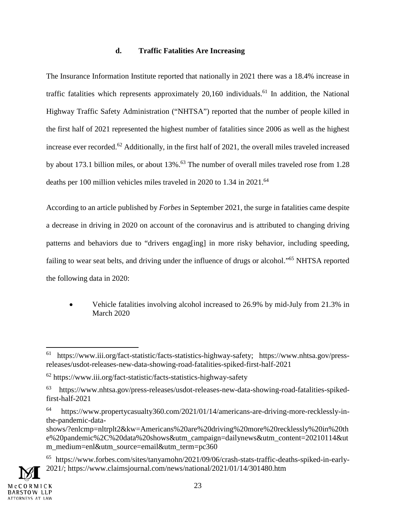## **d. Traffic Fatalities Are Increasing**

The Insurance Information Institute reported that nationally in 2021 there was a 18.4% increase in traffic fatalities which represents approximately  $20,160$  individuals.<sup>61</sup> In addition, the National Highway Traffic Safety Administration ("NHTSA") reported that the number of people killed in the first half of 2021 represented the highest number of fatalities since 2006 as well as the highest increase ever recorded.<sup>62</sup> Additionally, in the first half of 2021, the overall miles traveled increased by about 173.1 billion miles, or about 13%.<sup>63</sup> The number of overall miles traveled rose from 1.28 deaths per 100 million vehicles miles traveled in 2020 to 1.34 in 2021.<sup>64</sup>

According to an article published by *Forbes* in September 2021, the surge in fatalities came despite a decrease in driving in 2020 on account of the coronavirus and is attributed to changing driving patterns and behaviors due to "drivers engag[ing] in more risky behavior, including speeding, failing to wear seat belts, and driving under the influence of drugs or alcohol."<sup>65</sup> NHTSA reported the following data in 2020:

 Vehicle fatalities involving alcohol increased to 26.9% by mid-July from 21.3% in March 2020

<sup>61</sup> https://www.iii.org/fact-statistic/facts-statistics-highway-safety; https://www.nhtsa.gov/pressreleases/usdot-releases-new-data-showing-road-fatalities-spiked-first-half-2021

 $62$  https://www.iii.org/fact-statistic/facts-statistics-highway-safety

<sup>63</sup> https://www.nhtsa.gov/press-releases/usdot-releases-new-data-showing-road-fatalities-spikedfirst-half-2021

<sup>64</sup> https://www.propertycasualty360.com/2021/01/14/americans-are-driving-more-recklessly-inthe-pandemic-data-

shows/?enlcmp=nltrplt2&kw=Americans%20are%20driving%20more%20recklessly%20in%20th e%20pandemic%2C%20data%20shows&utm\_campaign=dailynews&utm\_content=20210114&ut m\_medium=enl&utm\_source=email&utm\_term=pc360

<sup>65</sup> https://www.forbes.com/sites/tanyamohn/2021/09/06/crash-stats-traffic-deaths-spiked-in-early-2021/; https://www.claimsjournal.com/news/national/2021/01/14/301480.htm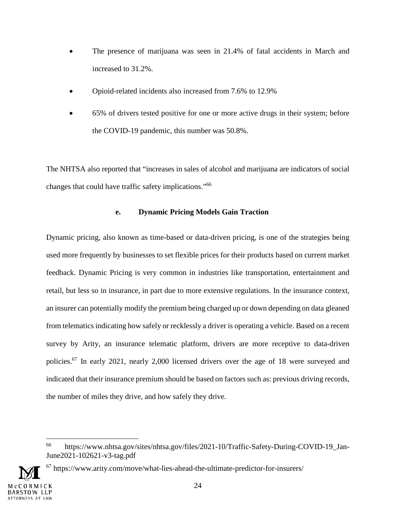- The presence of marijuana was seen in 21.4% of fatal accidents in March and increased to 31.2%.
- Opioid-related incidents also increased from 7.6% to 12.9%
- 65% of drivers tested positive for one or more active drugs in their system; before the COVID-19 pandemic, this number was 50.8%.

The NHTSA also reported that "increases in sales of alcohol and marijuana are indicators of social changes that could have traffic safety implications."<sup>66</sup>

## **e. Dynamic Pricing Models Gain Traction**

Dynamic pricing, also known as time-based or data-driven pricing, is one of the strategies being used more frequently by businesses to set flexible prices for their products based on current market feedback. Dynamic Pricing is very common in industries like transportation, entertainment and retail, but less so in insurance, in part due to more extensive regulations. In the insurance context, an insurer can potentially modify the premium being charged up or down depending on data gleaned from telematics indicating how safely or recklessly a driver is operating a vehicle. Based on a recent survey by Arity, an insurance telematic platform, drivers are more receptive to data-driven policies.<sup>67</sup> In early 2021, nearly 2,000 licensed drivers over the age of 18 were surveyed and indicated that their insurance premium should be based on factors such as: previous driving records, the number of miles they drive, and how safely they drive.

 $67$  https://www.arity.com/move/what-lies-ahead-the-ultimate-predictor-for-insurers/



<sup>66</sup> https://www.nhtsa.gov/sites/nhtsa.gov/files/2021-10/Traffic-Safety-During-COVID-19\_Jan-June2021-102621-v3-tag.pdf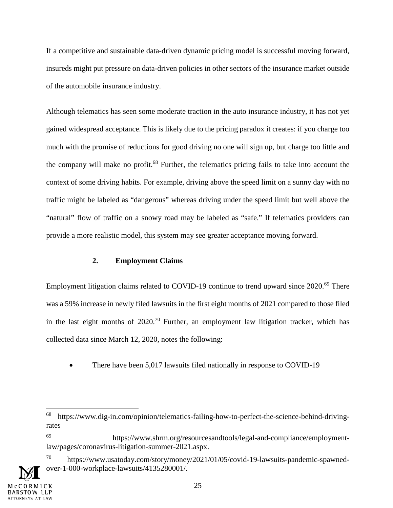If a competitive and sustainable data-driven dynamic pricing model is successful moving forward, insureds might put pressure on data-driven policies in other sectors of the insurance market outside of the automobile insurance industry.

Although telematics has seen some moderate traction in the auto insurance industry, it has not yet gained widespread acceptance. This is likely due to the pricing paradox it creates: if you charge too much with the promise of reductions for good driving no one will sign up, but charge too little and the company will make no profit.<sup>68</sup> Further, the telematics pricing fails to take into account the context of some driving habits. For example, driving above the speed limit on a sunny day with no traffic might be labeled as "dangerous" whereas driving under the speed limit but well above the "natural" flow of traffic on a snowy road may be labeled as "safe." If telematics providers can provide a more realistic model, this system may see greater acceptance moving forward.

#### **2. Employment Claims**

Employment litigation claims related to COVID-19 continue to trend upward since 2020.<sup>69</sup> There was a 59% increase in newly filed lawsuits in the first eight months of 2021 compared to those filed in the last eight months of  $2020$ <sup>70</sup> Further, an employment law litigation tracker, which has collected data since March 12, 2020, notes the following:

There have been 5,017 lawsuits filed nationally in response to COVID-19

<sup>68</sup> https://www.dig-in.com/opinion/telematics-failing-how-to-perfect-the-science-behind-drivingrates

<sup>69</sup> https://www.shrm.org/resourcesandtools/legal-and-compliance/employmentlaw/pages/coronavirus-litigation-summer-2021.aspx.

 $^{70}$  https://www.usatoday.com/story/money/2021/01/05/covid-19-lawsuits-pandemic-spawnedover-1-000-workplace-lawsuits/4135280001/.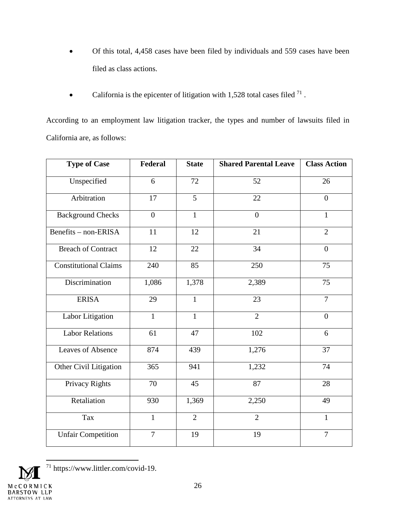- Of this total, 4,458 cases have been filed by individuals and 559 cases have been filed as class actions.
- California is the epicenter of litigation with 1,528 total cases filed  $^{71}$ .

According to an employment law litigation tracker, the types and number of lawsuits filed in California are, as follows:

| <b>Type of Case</b>          | Federal        | <b>State</b>   | <b>Shared Parental Leave</b> | <b>Class Action</b> |
|------------------------------|----------------|----------------|------------------------------|---------------------|
| Unspecified                  | 6              | 72             | 52                           | 26                  |
| Arbitration                  | 17             | 5              | 22                           | $\overline{0}$      |
| <b>Background Checks</b>     | $\overline{0}$ | $\mathbf{1}$   | $\overline{0}$               | $\mathbf{1}$        |
| Benefits - non-ERISA         | 11             | 12             | 21                           | $\overline{2}$      |
| <b>Breach of Contract</b>    | 12             | 22             | 34                           | $\boldsymbol{0}$    |
| <b>Constitutional Claims</b> | 240            | 85             | 250                          | 75                  |
| Discrimination               | 1,086          | 1,378          | 2,389                        | 75                  |
| <b>ERISA</b>                 | 29             | $\mathbf{1}$   | 23                           | $\overline{7}$      |
| Labor Litigation             | $\mathbf{1}$   | $\mathbf{1}$   | $\overline{2}$               | $\overline{0}$      |
| <b>Labor Relations</b>       | 61             | 47             | 102                          | 6                   |
| Leaves of Absence            | 874            | 439            | 1,276                        | 37                  |
| Other Civil Litigation       | 365            | 941            | 1,232                        | 74                  |
| Privacy Rights               | 70             | 45             | 87                           | 28                  |
| Retaliation                  | 930            | 1,369          | 2,250                        | 49                  |
| Tax                          | $\mathbf{1}$   | $\overline{2}$ | $\overline{2}$               | $\mathbf{1}$        |
| <b>Unfair Competition</b>    | $\overline{7}$ | 19             | 19                           | $\overline{7}$      |



<sup>71</sup> https://www.littler.com/covid-19.

26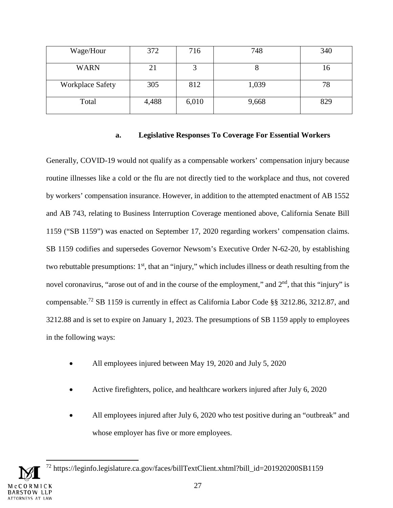| Wage/Hour               | 372   | 716   | 748   | 340 |
|-------------------------|-------|-------|-------|-----|
| <b>WARN</b>             | 21    |       |       | 16  |
| <b>Workplace Safety</b> | 305   | 812   | 1,039 | 78  |
| Total                   | 4,488 | 6,010 | 9,668 | 829 |

#### **a. Legislative Responses To Coverage For Essential Workers**

Generally, COVID-19 would not qualify as a compensable workers' compensation injury because routine illnesses like a cold or the flu are not directly tied to the workplace and thus, not covered by workers' compensation insurance. However, in addition to the attempted enactment of AB 1552 and AB 743, relating to Business Interruption Coverage mentioned above, California Senate Bill 1159 ("SB 1159") was enacted on September 17, 2020 regarding workers' compensation claims. SB 1159 codifies and supersedes Governor Newsom's Executive Order N-62-20, by establishing two rebuttable presumptions:  $1<sup>st</sup>$ , that an "injury," which includes illness or death resulting from the novel coronavirus, "arose out of and in the course of the employment," and  $2<sup>nd</sup>$ , that this "injury" is compensable.<sup>72</sup> SB 1159 is currently in effect as California Labor Code §§ 3212.86, 3212.87, and 3212.88 and is set to expire on January 1, 2023. The presumptions of SB 1159 apply to employees in the following ways:

- All employees injured between May 19, 2020 and July 5, 2020
- Active firefighters, police, and healthcare workers injured after July 6, 2020
- All employees injured after July 6, 2020 who test positive during an "outbreak" and whose employer has five or more employees.

<sup>72</sup> https://leginfo.legislature.ca.gov/faces/billTextClient.xhtml?bill\_id=201920200SB1159 27 RSTOW LLP ORNEYS AT LAW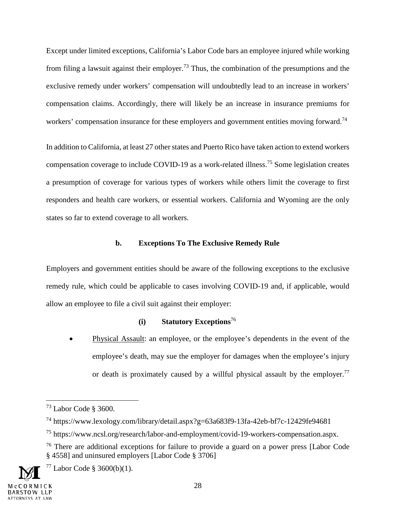Except under limited exceptions, California's Labor Code bars an employee injured while working from filing a lawsuit against their employer.<sup>73</sup> Thus, the combination of the presumptions and the exclusive remedy under workers' compensation will undoubtedly lead to an increase in workers' compensation claims. Accordingly, there will likely be an increase in insurance premiums for workers' compensation insurance for these employers and government entities moving forward.<sup>74</sup>

In addition to California, at least 27 other states and Puerto Rico have taken action to extend workers compensation coverage to include COVID-19 as a work-related illness.<sup>75</sup> Some legislation creates a presumption of coverage for various types of workers while others limit the coverage to first responders and health care workers, or essential workers. California and Wyoming are the only states so far to extend coverage to all workers.

## **b. Exceptions To The Exclusive Remedy Rule**

Employers and government entities should be aware of the following exceptions to the exclusive remedy rule, which could be applicable to cases involving COVID-19 and, if applicable, would allow an employee to file a civil suit against their employer:

## **(i) Statutory Exceptions**<sup>76</sup>

 Physical Assault: an employee, or the employee's dependents in the event of the employee's death, may sue the employer for damages when the employee's injury or death is proximately caused by a willful physical assault by the employer.<sup>77</sup>

 $77$  Labor Code § 3600(b)(1).

<sup>73</sup> Labor Code § 3600.

<sup>74</sup> https://www.lexology.com/library/detail.aspx?g=63a683f9-13fa-42eb-bf7c-12429fe94681

<sup>75</sup> https://www.ncsl.org/research/labor-and-employment/covid-19-workers-compensation.aspx.

<sup>&</sup>lt;sup>76</sup> There are additional exceptions for failure to provide a guard on a power press [Labor Code § 4558] and uninsured employers [Labor Code § 3706]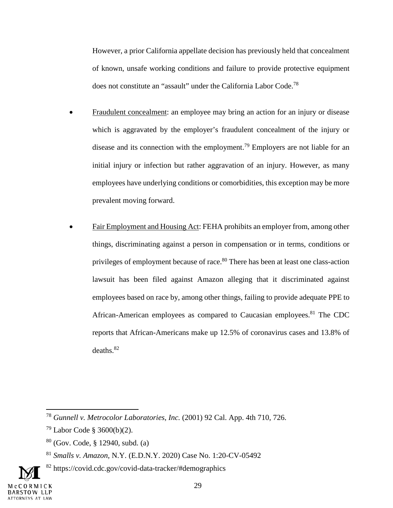However, a prior California appellate decision has previously held that concealment of known, unsafe working conditions and failure to provide protective equipment does not constitute an "assault" under the California Labor Code.<sup>78</sup>

- Fraudulent concealment: an employee may bring an action for an injury or disease which is aggravated by the employer's fraudulent concealment of the injury or disease and its connection with the employment.<sup>79</sup> Employers are not liable for an initial injury or infection but rather aggravation of an injury. However, as many employees have underlying conditions or comorbidities, this exception may be more prevalent moving forward.
- Fair Employment and Housing Act: FEHA prohibits an employer from, among other things, discriminating against a person in compensation or in terms, conditions or privileges of employment because of race.<sup>80</sup> There has been at least one class-action lawsuit has been filed against Amazon alleging that it discriminated against employees based on race by, among other things, failing to provide adequate PPE to African-American employees as compared to Caucasian employees.<sup>81</sup> The CDC reports that African-Americans make up 12.5% of coronavirus cases and 13.8% of deaths.<sup>82</sup>

<sup>78</sup> *Gunnell v. Metrocolor Laboratories, Inc.* (2001) 92 Cal. App. 4th 710, 726.

 $79$  Labor Code § 3600(b)(2).

<sup>80</sup> (Gov. Code, § 12940, subd. (a)

<sup>81</sup> *Smalls v. Amazon*, N.Y. (E.D.N.Y. 2020) Case No. 1:20-CV-05492

<sup>&</sup>lt;sup>82</sup> https://covid.cdc.gov/covid-data-tracker/#demographics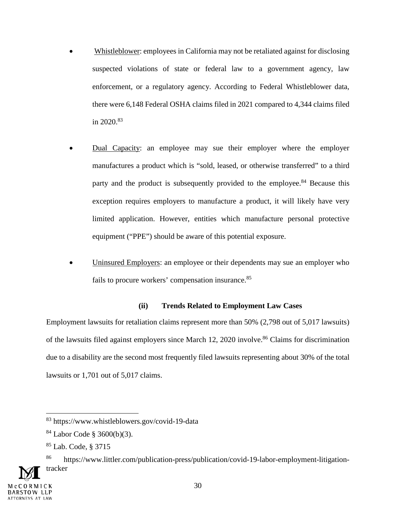- Whistleblower: employees in California may not be retaliated against for disclosing suspected violations of state or federal law to a government agency, law enforcement, or a regulatory agency. According to Federal Whistleblower data, there were 6,148 Federal OSHA claims filed in 2021 compared to 4,344 claims filed in  $2020^{83}$
- Dual Capacity: an employee may sue their employer where the employer manufactures a product which is "sold, leased, or otherwise transferred" to a third party and the product is subsequently provided to the employee.<sup>84</sup> Because this exception requires employers to manufacture a product, it will likely have very limited application. However, entities which manufacture personal protective equipment ("PPE") should be aware of this potential exposure.
- Uninsured Employers: an employee or their dependents may sue an employer who fails to procure workers' compensation insurance.<sup>85</sup>

## **(ii) Trends Related to Employment Law Cases**

Employment lawsuits for retaliation claims represent more than 50% (2,798 out of 5,017 lawsuits) of the lawsuits filed against employers since March 12, 2020 involve.<sup>86</sup> Claims for discrimination due to a disability are the second most frequently filed lawsuits representing about 30% of the total lawsuits or 1,701 out of 5,017 claims.

<sup>83</sup> https://www.whistleblowers.gov/covid-19-data

<sup>84</sup> Labor Code § 3600(b)(3).

<sup>85</sup> Lab. Code, § 3715

<sup>86</sup> https://www.littler.com/publication-press/publication/covid-19-labor-employment-litigationtracker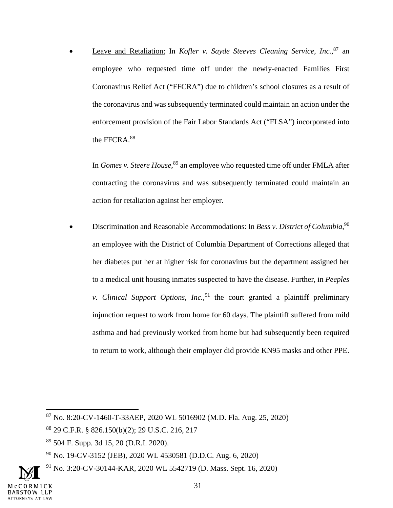• Leave and Retaliation: In *Kofler v. Sayde Steeves Cleaning Service, Inc.*<sup>87</sup> an employee who requested time off under the newly-enacted Families First Coronavirus Relief Act ("FFCRA") due to children's school closures as a result of the coronavirus and was subsequently terminated could maintain an action under the enforcement provision of the Fair Labor Standards Act ("FLSA") incorporated into the FFCRA.<sup>88</sup>

In *Gomes v. Steere House*, <sup>89</sup> an employee who requested time off under FMLA after contracting the coronavirus and was subsequently terminated could maintain an action for retaliation against her employer.

• Discrimination and Reasonable Accommodations: In *Bess v. District of Columbia*,<sup>90</sup> an employee with the District of Columbia Department of Corrections alleged that her diabetes put her at higher risk for coronavirus but the department assigned her to a medical unit housing inmates suspected to have the disease. Further, in *Peeples v. Clinical Support Options, Inc.*, <sup>91</sup> the court granted a plaintiff preliminary injunction request to work from home for 60 days. The plaintiff suffered from mild asthma and had previously worked from home but had subsequently been required to return to work, although their employer did provide KN95 masks and other PPE.

<sup>87</sup> No. 8:20-CV-1460-T-33AEP, 2020 WL 5016902 (M.D. Fla. Aug. 25, 2020)

<sup>88</sup> 29 C.F.R. § 826.150(b)(2); 29 U.S.C. 216, 217

<sup>89</sup> 504 F. Supp. 3d 15, 20 (D.R.I. 2020).

<sup>90</sup> No. 19-CV-3152 (JEB), 2020 WL 4530581 (D.D.C. Aug. 6, 2020)

<sup>91</sup> No. 3:20-CV-30144-KAR, 2020 WL 5542719 (D. Mass. Sept. 16, 2020)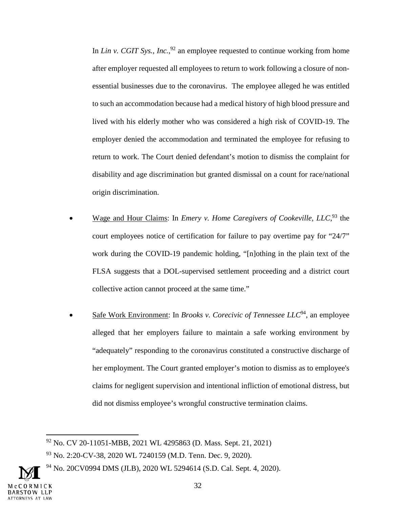In *Lin v. CGIT Sys., Inc.*<sup>92</sup> an employee requested to continue working from home after employer requested all employees to return to work following a closure of nonessential businesses due to the coronavirus. The employee alleged he was entitled to such an accommodation because had a medical history of high blood pressure and lived with his elderly mother who was considered a high risk of COVID-19. The employer denied the accommodation and terminated the employee for refusing to return to work. The Court denied defendant's motion to dismiss the complaint for disability and age discrimination but granted dismissal on a count for race/national origin discrimination.

- Wage and Hour Claims: In *Emery v. Home Caregivers of Cookeville, LLC*,<sup>93</sup> the court employees notice of certification for failure to pay overtime pay for "24/7" work during the COVID-19 pandemic holding, "[n]othing in the plain text of the FLSA suggests that a DOL-supervised settlement proceeding and a district court collective action cannot proceed at the same time."
- Safe Work Environment: In *Brooks v. Corecivic of Tennessee LLC*<sup>94</sup>, an employee alleged that her employers failure to maintain a safe working environment by "adequately" responding to the coronavirus constituted a constructive discharge of her employment. The Court granted employer's motion to dismiss as to employee's claims for negligent supervision and intentional infliction of emotional distress, but did not dismiss employee's wrongful constructive termination claims.

<sup>92</sup> No. CV 20-11051-MBB, 2021 WL 4295863 (D. Mass. Sept. 21, 2021)

<sup>93</sup> No. 2:20-CV-38, 2020 WL 7240159 (M.D. Tenn. Dec. 9, 2020).

<sup>&</sup>lt;sup>94</sup> No. 20CV0994 DMS (JLB), 2020 WL 5294614 (S.D. Cal. Sept. 4, 2020).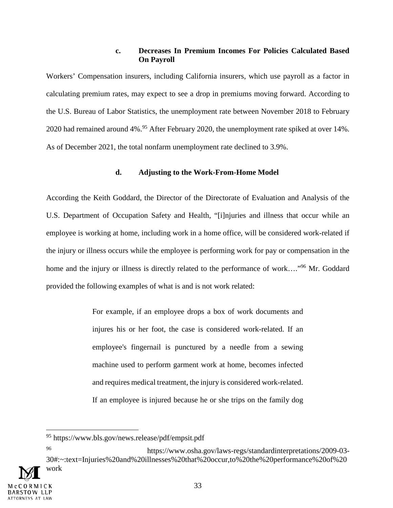#### **c. Decreases In Premium Incomes For Policies Calculated Based On Payroll**

Workers' Compensation insurers, including California insurers, which use payroll as a factor in calculating premium rates, may expect to see a drop in premiums moving forward. According to the U.S. Bureau of Labor Statistics, the unemployment rate between November 2018 to February 2020 had remained around 4%.<sup>95</sup> After February 2020, the unemployment rate spiked at over 14%. As of December 2021, the total nonfarm unemployment rate declined to 3.9%.

#### **d. Adjusting to the Work-From-Home Model**

According the Keith Goddard, the Director of the Directorate of Evaluation and Analysis of the U.S. Department of Occupation Safety and Health, "[i]njuries and illness that occur while an employee is working at home, including work in a home office, will be considered work-related if the injury or illness occurs while the employee is performing work for pay or compensation in the home and the injury or illness is directly related to the performance of work…."<sup>96</sup> Mr. Goddard provided the following examples of what is and is not work related:

> For example, if an employee drops a box of work documents and injures his or her foot, the case is considered work-related. If an employee's fingernail is punctured by a needle from a sewing machine used to perform garment work at home, becomes infected and requires medical treatment, the injury is considered work-related. If an employee is injured because he or she trips on the family dog

<sup>96</sup> https://www.osha.gov/laws-regs/standardinterpretations/2009-03- 30#:~:text=Injuries%20and%20illnesses%20that%20occur,to%20the%20performance%20of%20



<sup>95</sup> https://www.bls.gov/news.release/pdf/empsit.pdf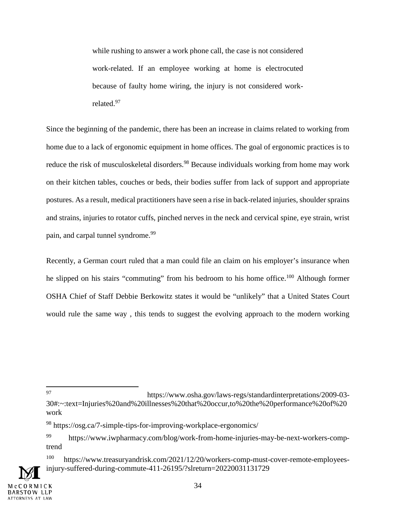while rushing to answer a work phone call, the case is not considered work-related. If an employee working at home is electrocuted because of faulty home wiring, the injury is not considered workrelated.<sup>97</sup>

Since the beginning of the pandemic, there has been an increase in claims related to working from home due to a lack of ergonomic equipment in home offices. The goal of ergonomic practices is to reduce the risk of musculoskeletal disorders.<sup>98</sup> Because individuals working from home may work on their kitchen tables, couches or beds, their bodies suffer from lack of support and appropriate postures. As a result, medical practitioners have seen a rise in back-related injuries, shoulder sprains and strains, injuries to rotator cuffs, pinched nerves in the neck and cervical spine, eye strain, wrist pain, and carpal tunnel syndrome.<sup>99</sup>

Recently, a German court ruled that a man could file an claim on his employer's insurance when he slipped on his stairs "commuting" from his bedroom to his home office.<sup>100</sup> Although former OSHA Chief of Staff Debbie Berkowitz states it would be "unlikely" that a United States Court would rule the same way , this tends to suggest the evolving approach to the modern working

<sup>97</sup> https://www.osha.gov/laws-regs/standardinterpretations/2009-03- 30#:~:text=Injuries%20and%20illnesses%20that%20occur,to%20the%20performance%20of%20 work

<sup>98</sup> https://osg.ca/7-simple-tips-for-improving-workplace-ergonomics/

https://www.iwpharmacy.com/blog/work-from-home-injuries-may-be-next-workers-comptrend

<sup>100</sup> https://www.treasuryandrisk.com/2021/12/20/workers-comp-must-cover-remote-employeesinjury-suffered-during-commute-411-26195/?slreturn=20220031131729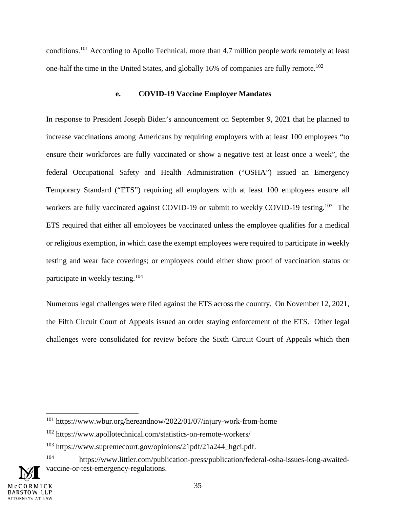conditions.<sup>101</sup> According to Apollo Technical, more than 4.7 million people work remotely at least one-half the time in the United States, and globally 16% of companies are fully remote.<sup>102</sup>

#### **e. COVID-19 Vaccine Employer Mandates**

In response to President Joseph Biden's announcement on September 9, 2021 that he planned to increase vaccinations among Americans by requiring employers with at least 100 employees "to ensure their workforces are fully vaccinated or show a negative test at least once a week", the federal Occupational Safety and Health Administration ("OSHA") issued an Emergency Temporary Standard ("ETS") requiring all employers with at least 100 employees ensure all workers are fully vaccinated against COVID-19 or submit to weekly COVID-19 testing.<sup>103</sup> The ETS required that either all employees be vaccinated unless the employee qualifies for a medical or religious exemption, in which case the exempt employees were required to participate in weekly testing and wear face coverings; or employees could either show proof of vaccination status or participate in weekly testing.<sup>104</sup>

Numerous legal challenges were filed against the ETS across the country. On November 12, 2021, the Fifth Circuit Court of Appeals issued an order staying enforcement of the ETS. Other legal challenges were consolidated for review before the Sixth Circuit Court of Appeals which then

<sup>101</sup> https://www.wbur.org/hereandnow/2022/01/07/injury-work-from-home

<sup>102</sup> https://www.apollotechnical.com/statistics-on-remote-workers/

 $103$  https://www.supremecourt.gov/opinions/21pdf/21a244 hgci.pdf.

<sup>104</sup> https://www.littler.com/publication-press/publication/federal-osha-issues-long-awaitedvaccine-or-test-emergency-regulations.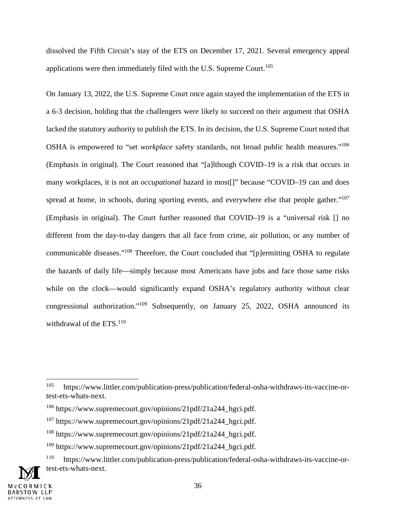dissolved the Fifth Circuit's stay of the ETS on December 17, 2021. Several emergency appeal applications were then immediately filed with the U.S. Supreme Court.<sup>105</sup>

On January 13, 2022, the U.S. Supreme Court once again stayed the implementation of the ETS in a 6-3 decision, holding that the challengers were likely to succeed on their argument that OSHA lacked the statutory authority to publish the ETS. In its decision, the U.S. Supreme Court noted that OSHA is empowered to "set *workplace* safety standards, not broad public health measures."<sup>106</sup> (Emphasis in original). The Court reasoned that "[a]lthough COVID–19 is a risk that occurs in many workplaces, it is not an *occupational* hazard in most[]" because "COVID–19 can and does spread at home, in schools, during sporting events, and everywhere else that people gather."<sup>107</sup> (Emphasis in original). The Court further reasoned that COVID–19 is a "universal risk [] no different from the day-to-day dangers that all face from crime, air pollution, or any number of communicable diseases."<sup>108</sup> Therefore, the Court concluded that "[p]ermitting OSHA to regulate the hazards of daily life—simply because most Americans have jobs and face those same risks while on the clock—would significantly expand OSHA's regulatory authority without clear congressional authorization."<sup>109</sup> Subsequently, on January 25, 2022, OSHA announced its withdrawal of the ETS.<sup>110</sup>

<sup>105</sup> https://www.littler.com/publication-press/publication/federal-osha-withdraws-its-vaccine-ortest-ets-whats-next.

<sup>106</sup> https://www.supremecourt.gov/opinions/21pdf/21a244\_hgci.pdf.

<sup>107</sup> https://www.supremecourt.gov/opinions/21pdf/21a244\_hgci.pdf.

<sup>108</sup> https://www.supremecourt.gov/opinions/21pdf/21a244\_hgci.pdf.

 $109$  https://www.supremecourt.gov/opinions/21pdf/21a244 hgci.pdf.

<sup>110</sup> https://www.littler.com/publication-press/publication/federal-osha-withdraws-its-vaccine-ortest-ets-whats-next.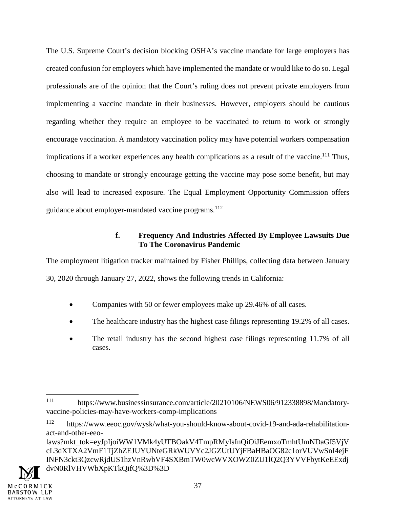The U.S. Supreme Court's decision blocking OSHA's vaccine mandate for large employers has created confusion for employers which have implemented the mandate or would like to do so. Legal professionals are of the opinion that the Court's ruling does not prevent private employers from implementing a vaccine mandate in their businesses. However, employers should be cautious regarding whether they require an employee to be vaccinated to return to work or strongly encourage vaccination. A mandatory vaccination policy may have potential workers compensation implications if a worker experiences any health complications as a result of the vaccine.<sup>111</sup> Thus, choosing to mandate or strongly encourage getting the vaccine may pose some benefit, but may also will lead to increased exposure. The Equal Employment Opportunity Commission offers guidance about employer-mandated vaccine programs.<sup>112</sup>

## **f. Frequency And Industries Affected By Employee Lawsuits Due To The Coronavirus Pandemic**

The employment litigation tracker maintained by Fisher Phillips, collecting data between January 30, 2020 through January 27, 2022, shows the following trends in California:

- Companies with 50 or fewer employees make up 29.46% of all cases.
- The healthcare industry has the highest case filings representing 19.2% of all cases.
- The retail industry has the second highest case filings representing 11.7% of all cases.

laws?mkt\_tok=eyJpIjoiWW1VMk4yUTBOakV4TmpRMyIsInQiOiJEemxoTmhtUmNDaGI5VjV cL3dXTXA2VmF1TjZhZEJUYUNteGRkWUVYc2JGZUtUYjFBaHBaOG82c1orVUVwSnI4ejF INFN3ckt3QzcwRjdUS1hzVnRwbVF4SXBmTW0wcWVXOWZ0ZU1lQ2Q3YVVFbytKeEExdj dvN0RlVHVWbXpKTkQifQ%3D%3D



<sup>111</sup> https://www.businessinsurance.com/article/20210106/NEWS06/912338898/Mandatoryvaccine-policies-may-have-workers-comp-implications

<sup>112</sup> https://www.eeoc.gov/wysk/what-you-should-know-about-covid-19-and-ada-rehabilitationact-and-other-eeo-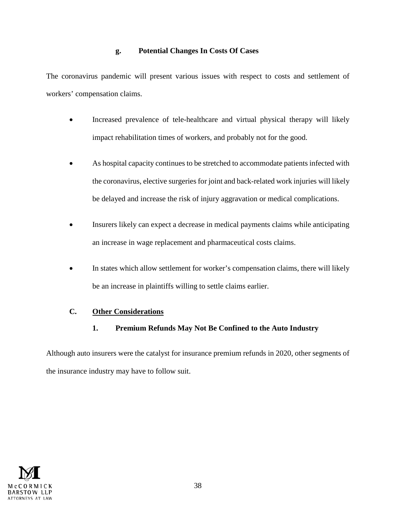## **g. Potential Changes In Costs Of Cases**

The coronavirus pandemic will present various issues with respect to costs and settlement of workers' compensation claims.

- Increased prevalence of tele-healthcare and virtual physical therapy will likely impact rehabilitation times of workers, and probably not for the good.
- As hospital capacity continues to be stretched to accommodate patients infected with the coronavirus, elective surgeries for joint and back-related work injuries will likely be delayed and increase the risk of injury aggravation or medical complications.
- Insurers likely can expect a decrease in medical payments claims while anticipating an increase in wage replacement and pharmaceutical costs claims.
- In states which allow settlement for worker's compensation claims, there will likely be an increase in plaintiffs willing to settle claims earlier.

# **C. Other Considerations**

**1. Premium Refunds May Not Be Confined to the Auto Industry** 

Although auto insurers were the catalyst for insurance premium refunds in 2020, other segments of the insurance industry may have to follow suit.

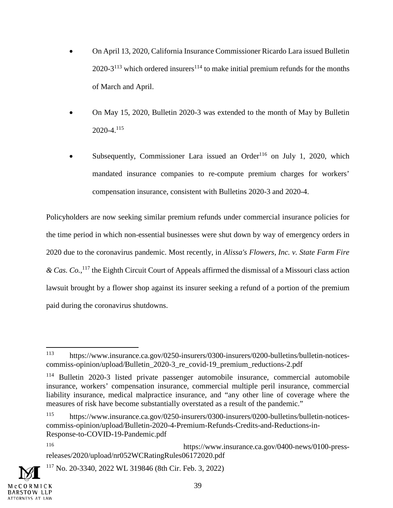- On April 13, 2020, California Insurance Commissioner Ricardo Lara issued Bulletin 2020-3<sup>113</sup> which ordered insurers<sup>114</sup> to make initial premium refunds for the months of March and April.
- On May 15, 2020, Bulletin 2020-3 was extended to the month of May by Bulletin  $2020 - 4$ <sup>115</sup>
- Subsequently, Commissioner Lara issued an Order<sup>116</sup> on July 1, 2020, which mandated insurance companies to re-compute premium charges for workers' compensation insurance, consistent with Bulletins 2020-3 and 2020-4.

Policyholders are now seeking similar premium refunds under commercial insurance policies for the time period in which non-essential businesses were shut down by way of emergency orders in 2020 due to the coronavirus pandemic. Most recently, in *Alissa's Flowers, Inc. v. State Farm Fire & Cas. Co.*, <sup>117</sup> the Eighth Circuit Court of Appeals affirmed the dismissal of a Missouri class action lawsuit brought by a flower shop against its insurer seeking a refund of a portion of the premium paid during the coronavirus shutdowns.

<sup>117</sup> No. 20-3340, 2022 WL 319846 (8th Cir. Feb. 3, 2022)



<sup>113</sup> https://www.insurance.ca.gov/0250-insurers/0300-insurers/0200-bulletins/bulletin-noticescommiss-opinion/upload/Bulletin\_2020-3\_re\_covid-19\_premium\_reductions-2.pdf

<sup>&</sup>lt;sup>114</sup> Bulletin 2020-3 listed private passenger automobile insurance, commercial automobile insurance, workers' compensation insurance, commercial multiple peril insurance, commercial liability insurance, medical malpractice insurance, and "any other line of coverage where the measures of risk have become substantially overstated as a result of the pandemic."

<sup>115</sup> https://www.insurance.ca.gov/0250-insurers/0300-insurers/0200-bulletins/bulletin-noticescommiss-opinion/upload/Bulletin-2020-4-Premium-Refunds-Credits-and-Reductions-in-Response-to-COVID-19-Pandemic.pdf

<sup>116</sup> https://www.insurance.ca.gov/0400-news/0100-pressreleases/2020/upload/nr052WCRatingRules06172020.pdf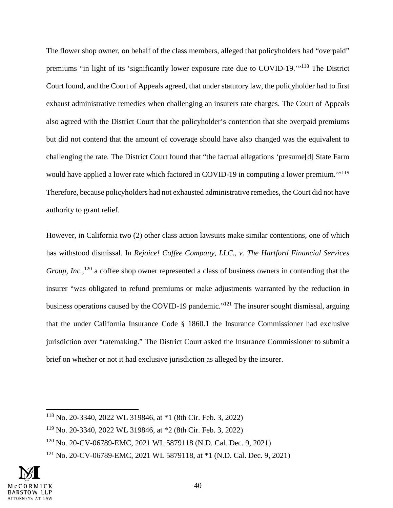The flower shop owner, on behalf of the class members, alleged that policyholders had "overpaid" premiums "in light of its 'significantly lower exposure rate due to COVID-19.'"<sup>118</sup> The District Court found, and the Court of Appeals agreed, that under statutory law, the policyholder had to first exhaust administrative remedies when challenging an insurers rate charges. The Court of Appeals also agreed with the District Court that the policyholder's contention that she overpaid premiums but did not contend that the amount of coverage should have also changed was the equivalent to challenging the rate. The District Court found that "the factual allegations 'presume[d] State Farm would have applied a lower rate which factored in COVID-19 in computing a lower premium.'"<sup>119</sup> Therefore, because policyholders had not exhausted administrative remedies, the Court did not have authority to grant relief.

However, in California two (2) other class action lawsuits make similar contentions, one of which has withstood dismissal. In *Rejoice! Coffee Company, LLC., v. The Hartford Financial Services*  Group, Inc.,<sup>120</sup> a coffee shop owner represented a class of business owners in contending that the insurer "was obligated to refund premiums or make adjustments warranted by the reduction in business operations caused by the COVID-19 pandemic."<sup>121</sup> The insurer sought dismissal, arguing that the under California Insurance Code § 1860.1 the Insurance Commissioner had exclusive jurisdiction over "ratemaking." The District Court asked the Insurance Commissioner to submit a brief on whether or not it had exclusive jurisdiction as alleged by the insurer.

<sup>121</sup> No. 20-CV-06789-EMC, 2021 WL 5879118, at \*1 (N.D. Cal. Dec. 9, 2021)



<sup>118</sup> No. 20-3340, 2022 WL 319846, at \*1 (8th Cir. Feb. 3, 2022)

<sup>119</sup> No. 20-3340, 2022 WL 319846, at \*2 (8th Cir. Feb. 3, 2022)

<sup>120</sup> No. 20-CV-06789-EMC, 2021 WL 5879118 (N.D. Cal. Dec. 9, 2021)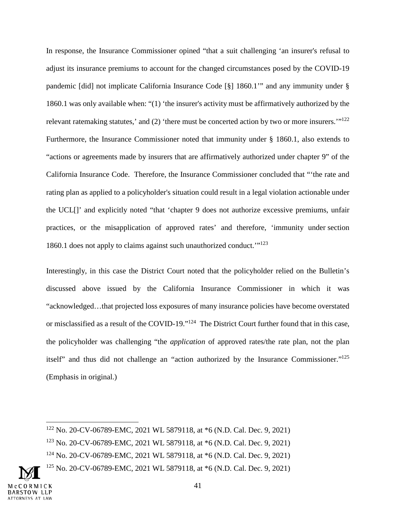In response, the Insurance Commissioner opined "that a suit challenging 'an insurer's refusal to adjust its insurance premiums to account for the changed circumstances posed by the COVID-19 pandemic [did] not implicate California Insurance Code [§] 1860.1'" and any immunity under § 1860.1 was only available when: "(1) 'the insurer's activity must be affirmatively authorized by the relevant ratemaking statutes,' and (2) 'there must be concerted action by two or more insurers.'"<sup>122</sup> Furthermore, the Insurance Commissioner noted that immunity under § 1860.1, also extends to "actions or agreements made by insurers that are affirmatively authorized under chapter 9" of the California Insurance Code. Therefore, the Insurance Commissioner concluded that "'the rate and rating plan as applied to a policyholder's situation could result in a legal violation actionable under the UCL[]' and explicitly noted "that 'chapter 9 does not authorize excessive premiums, unfair practices, or the misapplication of approved rates' and therefore, 'immunity under section 1860.1 does not apply to claims against such unauthorized conduct.'"<sup>123</sup>

Interestingly, in this case the District Court noted that the policyholder relied on the Bulletin's discussed above issued by the California Insurance Commissioner in which it was "acknowledged…that projected loss exposures of many insurance policies have become overstated or misclassified as a result of the COVID-19."<sup>124</sup> The District Court further found that in this case, the policyholder was challenging "the *application* of approved rates/the rate plan, not the plan itself" and thus did not challenge an "action authorized by the Insurance Commissioner."<sup>125</sup> (Emphasis in original.)

<sup>122</sup> No. 20-CV-06789-EMC, 2021 WL 5879118, at \*6 (N.D. Cal. Dec. 9, 2021)

<sup>123</sup> No. 20-CV-06789-EMC, 2021 WL 5879118, at \*6 (N.D. Cal. Dec. 9, 2021)

<sup>124</sup> No. 20-CV-06789-EMC, 2021 WL 5879118, at \*6 (N.D. Cal. Dec. 9, 2021)

<sup>125</sup> No. 20-CV-06789-EMC, 2021 WL 5879118, at \*6 (N.D. Cal. Dec. 9, 2021)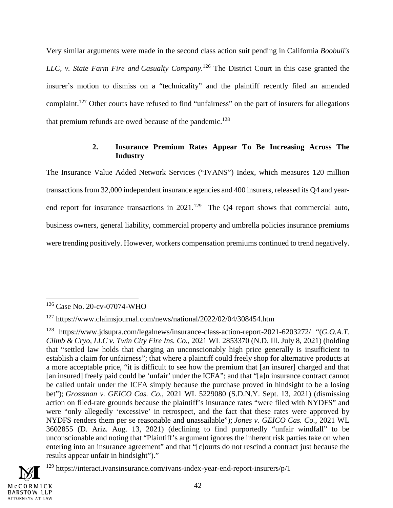Very similar arguments were made in the second class action suit pending in California *Boobuli's LLC, v. State Farm Fire and Casualty Company*. <sup>126</sup> The District Court in this case granted the insurer's motion to dismiss on a "technicality" and the plaintiff recently filed an amended complaint.<sup>127</sup> Other courts have refused to find "unfairness" on the part of insurers for allegations that premium refunds are owed because of the pandemic.<sup>128</sup>

## **2. Insurance Premium Rates Appear To Be Increasing Across The Industry**

The Insurance Value Added Network Services ("IVANS") Index, which measures 120 million transactions from 32,000 independent insurance agencies and 400 insurers, released its Q4 and yearend report for insurance transactions in  $2021$ .<sup>129</sup> The Q4 report shows that commercial auto, business owners, general liability, commercial property and umbrella policies insurance premiums were trending positively. However, workers compensation premiums continued to trend negatively.

<sup>&</sup>lt;sup>129</sup> https://interact.ivansinsurance.com/ivans-index-year-end-report-insurers/p/1



<sup>126</sup> Case No. 20-cv-07074-WHO

<sup>127</sup> https://www.claimsjournal.com/news/national/2022/02/04/308454.htm

<sup>128</sup> https://www.jdsupra.com/legalnews/insurance-class-action-report-2021-6203272/ "(*G.O.A.T. Climb & Cryo, LLC v. Twin City Fire Ins. Co.*, 2021 WL 2853370 (N.D. Ill. July 8, 2021) (holding that "settled law holds that charging an unconscionably high price generally is insufficient to establish a claim for unfairness"; that where a plaintiff could freely shop for alternative products at a more acceptable price, "it is difficult to see how the premium that [an insurer] charged and that [an insured] freely paid could be 'unfair' under the ICFA"; and that "[a]n insurance contract cannot be called unfair under the ICFA simply because the purchase proved in hindsight to be a losing bet"); *Grossman v. GEICO Cas. Co.*, 2021 WL 5229080 (S.D.N.Y. Sept. 13, 2021) (dismissing action on filed-rate grounds because the plaintiff's insurance rates "were filed with NYDFS" and were "only allegedly 'excessive' in retrospect, and the fact that these rates were approved by NYDFS renders them per se reasonable and unassailable"); *Jones v. GEICO Cas. Co.*, 2021 WL 3602855 (D. Ariz. Aug. 13, 2021) (declining to find purportedly "unfair windfall" to be unconscionable and noting that "Plaintiff's argument ignores the inherent risk parties take on when entering into an insurance agreement" and that "[c]ourts do not rescind a contract just because the results appear unfair in hindsight")."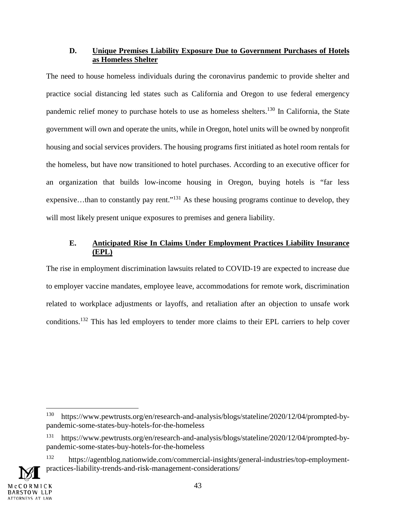## **D. Unique Premises Liability Exposure Due to Government Purchases of Hotels as Homeless Shelter**

The need to house homeless individuals during the coronavirus pandemic to provide shelter and practice social distancing led states such as California and Oregon to use federal emergency pandemic relief money to purchase hotels to use as homeless shelters.<sup>130</sup> In California, the State government will own and operate the units, while in Oregon, hotel units will be owned by nonprofit housing and social services providers. The housing programs first initiated as hotel room rentals for the homeless, but have now transitioned to hotel purchases. According to an executive officer for an organization that builds low-income housing in Oregon, buying hotels is "far less expensive...than to constantly pay rent."<sup>131</sup> As these housing programs continue to develop, they will most likely present unique exposures to premises and genera liability.

# **E. Anticipated Rise In Claims Under Employment Practices Liability Insurance (EPL)**

The rise in employment discrimination lawsuits related to COVID-19 are expected to increase due to employer vaccine mandates, employee leave, accommodations for remote work, discrimination related to workplace adjustments or layoffs, and retaliation after an objection to unsafe work conditions.<sup>132</sup> This has led employers to tender more claims to their EPL carriers to help cover

<sup>132</sup> https://agentblog.nationwide.com/commercial-insights/general-industries/top-employmentpractices-liability-trends-and-risk-management-considerations/



<sup>130</sup> https://www.pewtrusts.org/en/research-and-analysis/blogs/stateline/2020/12/04/prompted-bypandemic-some-states-buy-hotels-for-the-homeless

<sup>131</sup> https://www.pewtrusts.org/en/research-and-analysis/blogs/stateline/2020/12/04/prompted-bypandemic-some-states-buy-hotels-for-the-homeless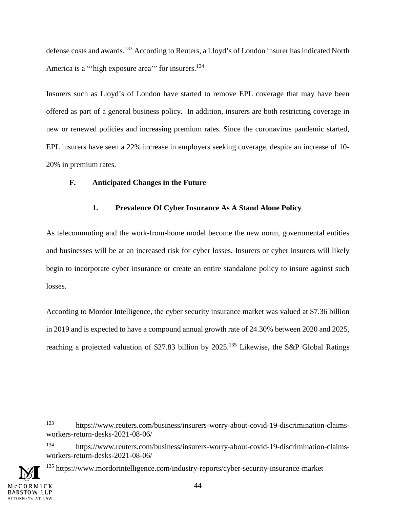defense costs and awards.<sup>133</sup> According to Reuters, a Lloyd's of London insurer has indicated North America is a "'high exposure area'" for insurers.<sup>134</sup>

Insurers such as Lloyd's of London have started to remove EPL coverage that may have been offered as part of a general business policy. In addition, insurers are both restricting coverage in new or renewed policies and increasing premium rates. Since the coronavirus pandemic started, EPL insurers have seen a 22% increase in employers seeking coverage, despite an increase of 10- 20% in premium rates.

## **F. Anticipated Changes in the Future**

## **1. Prevalence Of Cyber Insurance As A Stand Alone Policy**

As telecommuting and the work-from-home model become the new norm, governmental entities and businesses will be at an increased risk for cyber losses. Insurers or cyber insurers will likely begin to incorporate cyber insurance or create an entire standalone policy to insure against such losses.

According to Mordor Intelligence, the cyber security insurance market was valued at \$7.36 billion in 2019 and is expected to have a compound annual growth rate of 24.30% between 2020 and 2025, reaching a projected valuation of \$27.83 billion by 2025.<sup>135</sup> Likewise, the S&P Global Ratings

<sup>135</sup> https://www.mordorintelligence.com/industry-reports/cyber-security-insurance-market



<sup>133</sup> https://www.reuters.com/business/insurers-worry-about-covid-19-discrimination-claimsworkers-return-desks-2021-08-06/

<sup>134</sup> https://www.reuters.com/business/insurers-worry-about-covid-19-discrimination-claimsworkers-return-desks-2021-08-06/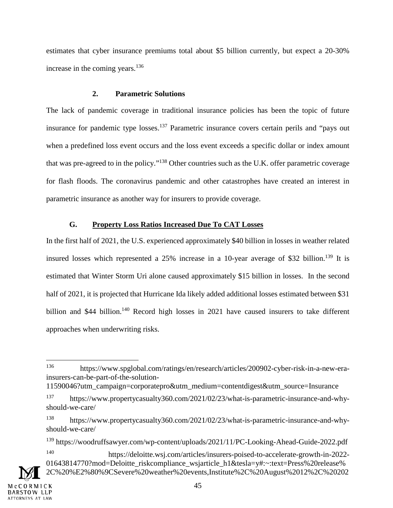estimates that cyber insurance premiums total about \$5 billion currently, but expect a 20-30% increase in the coming years. $136$ 

#### **2. Parametric Solutions**

The lack of pandemic coverage in traditional insurance policies has been the topic of future insurance for pandemic type losses.<sup>137</sup> Parametric insurance covers certain perils and "pays out when a predefined loss event occurs and the loss event exceeds a specific dollar or index amount that was pre-agreed to in the policy."<sup>138</sup> Other countries such as the U.K. offer parametric coverage for flash floods. The coronavirus pandemic and other catastrophes have created an interest in parametric insurance as another way for insurers to provide coverage.

## **G. Property Loss Ratios Increased Due To CAT Losses**

In the first half of 2021, the U.S. experienced approximately \$40 billion in losses in weather related insured losses which represented a  $25\%$  increase in a 10-year average of \$32 billion.<sup>139</sup> It is estimated that Winter Storm Uri alone caused approximately \$15 billion in losses. In the second half of 2021, it is projected that Hurricane Ida likely added additional losses estimated between \$31 billion and \$44 billion.<sup>140</sup> Record high losses in 2021 have caused insurers to take different approaches when underwriting risks.

<sup>136</sup> https://www.spglobal.com/ratings/en/research/articles/200902-cyber-risk-in-a-new-erainsurers-can-be-part-of-the-solution-

<sup>11590046?</sup>utm\_campaign=corporatepro&utm\_medium=contentdigest&utm\_source=Insurance

<sup>137</sup> https://www.propertycasualty360.com/2021/02/23/what-is-parametric-insurance-and-whyshould-we-care/

<sup>138</sup> https://www.propertycasualty360.com/2021/02/23/what-is-parametric-insurance-and-whyshould-we-care/

<sup>&</sup>lt;sup>139</sup> https://woodruffsawyer.com/wp-content/uploads/2021/11/PC-Looking-Ahead-Guide-2022.pdf

<sup>140</sup> https://deloitte.wsj.com/articles/insurers-poised-to-accelerate-growth-in-2022- 01643814770?mod=Deloitte riskcompliance wsjarticle h1&tesla=y#:~:text=Press%20release% 2C%20%E2%80%9CSevere%20weather%20events,Institute%2C%20August%2012%2C%20202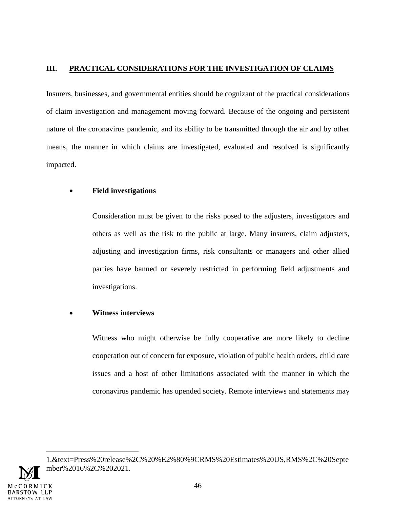# **III. PRACTICAL CONSIDERATIONS FOR THE INVESTIGATION OF CLAIMS**

Insurers, businesses, and governmental entities should be cognizant of the practical considerations of claim investigation and management moving forward. Because of the ongoing and persistent nature of the coronavirus pandemic, and its ability to be transmitted through the air and by other means, the manner in which claims are investigated, evaluated and resolved is significantly impacted.

# **Field investigations**

Consideration must be given to the risks posed to the adjusters, investigators and others as well as the risk to the public at large. Many insurers, claim adjusters, adjusting and investigation firms, risk consultants or managers and other allied parties have banned or severely restricted in performing field adjustments and investigations.

# **Witness interviews**

Witness who might otherwise be fully cooperative are more likely to decline cooperation out of concern for exposure, violation of public health orders, child care issues and a host of other limitations associated with the manner in which the coronavirus pandemic has upended society. Remote interviews and statements may

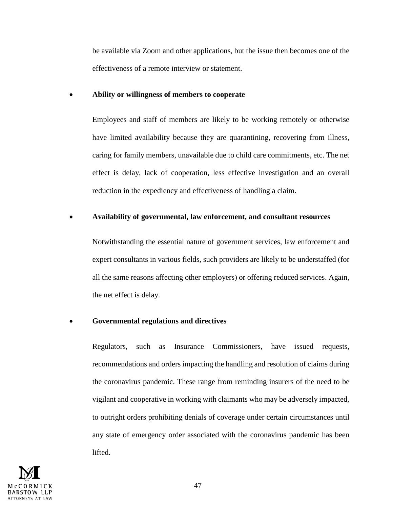be available via Zoom and other applications, but the issue then becomes one of the effectiveness of a remote interview or statement.

#### **Ability or willingness of members to cooperate**

Employees and staff of members are likely to be working remotely or otherwise have limited availability because they are quarantining, recovering from illness, caring for family members, unavailable due to child care commitments, etc. The net effect is delay, lack of cooperation, less effective investigation and an overall reduction in the expediency and effectiveness of handling a claim.

## **Availability of governmental, law enforcement, and consultant resources**

Notwithstanding the essential nature of government services, law enforcement and expert consultants in various fields, such providers are likely to be understaffed (for all the same reasons affecting other employers) or offering reduced services. Again, the net effect is delay.

## **Governmental regulations and directives**

Regulators, such as Insurance Commissioners, have issued requests, recommendations and orders impacting the handling and resolution of claims during the coronavirus pandemic. These range from reminding insurers of the need to be vigilant and cooperative in working with claimants who may be adversely impacted, to outright orders prohibiting denials of coverage under certain circumstances until any state of emergency order associated with the coronavirus pandemic has been lifted.

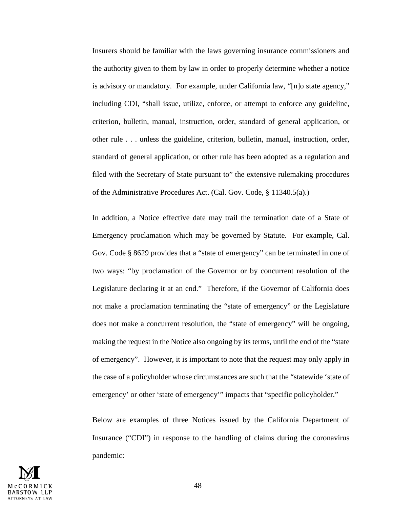Insurers should be familiar with the laws governing insurance commissioners and the authority given to them by law in order to properly determine whether a notice is advisory or mandatory. For example, under California law, "[n]o state agency," including CDI, "shall issue, utilize, enforce, or attempt to enforce any guideline, criterion, bulletin, manual, instruction, order, standard of general application, or other rule . . . unless the guideline, criterion, bulletin, manual, instruction, order, standard of general application, or other rule has been adopted as a regulation and filed with the Secretary of State pursuant to" the extensive rulemaking procedures of the Administrative Procedures Act. (Cal. Gov. Code, § 11340.5(a).)

In addition, a Notice effective date may trail the termination date of a State of Emergency proclamation which may be governed by Statute. For example, Cal. Gov. Code § 8629 provides that a "state of emergency" can be terminated in one of two ways: "by proclamation of the Governor or by concurrent resolution of the Legislature declaring it at an end." Therefore, if the Governor of California does not make a proclamation terminating the "state of emergency" or the Legislature does not make a concurrent resolution, the "state of emergency" will be ongoing, making the request in the Notice also ongoing by its terms, until the end of the "state of emergency". However, it is important to note that the request may only apply in the case of a policyholder whose circumstances are such that the "statewide 'state of emergency' or other 'state of emergency'" impacts that "specific policyholder."

Below are examples of three Notices issued by the California Department of Insurance ("CDI") in response to the handling of claims during the coronavirus pandemic:

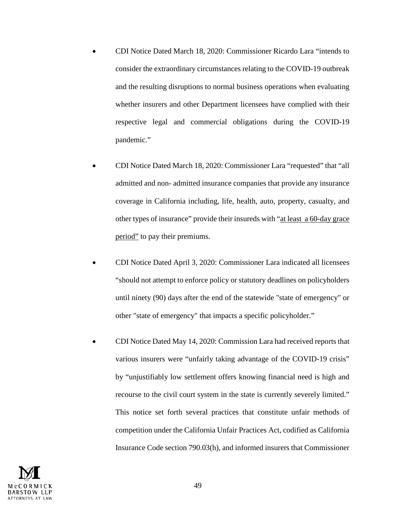- CDI Notice Dated March 18, 2020: Commissioner Ricardo Lara "intends to consider the extraordinary circumstances relating to the COVID-19 outbreak and the resulting disruptions to normal business operations when evaluating whether insurers and other Department licensees have complied with their respective legal and commercial obligations during the COVID-19 pandemic."
- CDI Notice Dated March 18, 2020: Commissioner Lara "requested" that "all admitted and non- admitted insurance companies that provide any insurance coverage in California including, life, health, auto, property, casualty, and other types of insurance" provide their insureds with "at least a 60-day grace period" to pay their premiums.
- CDI Notice Dated April 3, 2020: Commissioner Lara indicated all licensees "should not attempt to enforce policy or statutory deadlines on policyholders until ninety (90) days after the end of the statewide "state of emergency" or other "state of emergency" that impacts a specific policyholder."
- CDI Notice Dated May 14, 2020: Commission Lara had received reports that various insurers were "unfairly taking advantage of the COVID-19 crisis" by "unjustifiably low settlement offers knowing financial need is high and recourse to the civil court system in the state is currently severely limited." This notice set forth several practices that constitute unfair methods of competition under the California Unfair Practices Act, codified as California Insurance Code section 790.03(h), and informed insurers that Commissioner

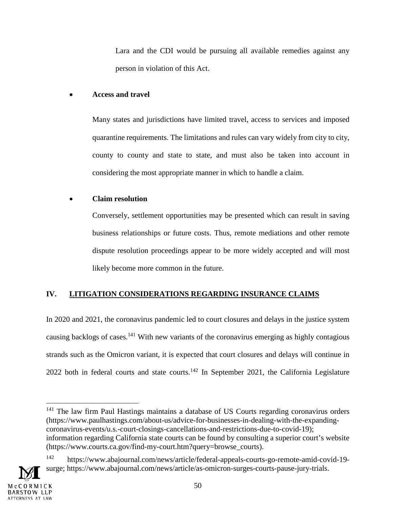Lara and the CDI would be pursuing all available remedies against any person in violation of this Act.

# **Access and travel**

Many states and jurisdictions have limited travel, access to services and imposed quarantine requirements. The limitations and rules can vary widely from city to city, county to county and state to state, and must also be taken into account in considering the most appropriate manner in which to handle a claim.

# **Claim resolution**

Conversely, settlement opportunities may be presented which can result in saving business relationships or future costs. Thus, remote mediations and other remote dispute resolution proceedings appear to be more widely accepted and will most likely become more common in the future.

# **IV. LITIGATION CONSIDERATIONS REGARDING INSURANCE CLAIMS**

In 2020 and 2021, the coronavirus pandemic led to court closures and delays in the justice system causing backlogs of cases.<sup>141</sup> With new variants of the coronavirus emerging as highly contagious strands such as the Omicron variant, it is expected that court closures and delays will continue in 2022 both in federal courts and state courts.<sup>142</sup> In September 2021, the California Legislature

<sup>141</sup> The law firm Paul Hastings maintains a database of US Courts regarding coronavirus orders (https://www.paulhastings.com/about-us/advice-for-businesses-in-dealing-with-the-expandingcoronavirus-events/u.s.-court-closings-cancellations-and-restrictions-due-to-covid-19); information regarding California state courts can be found by consulting a superior court's website (https://www.courts.ca.gov/find-my-court.htm?query=browse\_courts).

<sup>142</sup> https://www.abajournal.com/news/article/federal-appeals-courts-go-remote-amid-covid-19 surge; https://www.abajournal.com/news/article/as-omicron-surges-courts-pause-jury-trials.

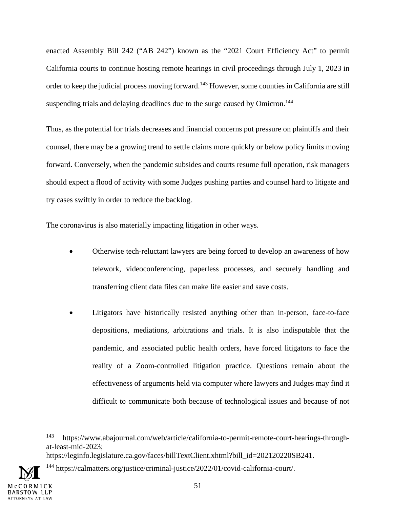enacted Assembly Bill 242 ("AB 242") known as the "2021 Court Efficiency Act" to permit California courts to continue hosting remote hearings in civil proceedings through July 1, 2023 in order to keep the judicial process moving forward.<sup>143</sup> However, some counties in California are still suspending trials and delaying deadlines due to the surge caused by Omicron.<sup>144</sup>

Thus, as the potential for trials decreases and financial concerns put pressure on plaintiffs and their counsel, there may be a growing trend to settle claims more quickly or below policy limits moving forward. Conversely, when the pandemic subsides and courts resume full operation, risk managers should expect a flood of activity with some Judges pushing parties and counsel hard to litigate and try cases swiftly in order to reduce the backlog.

The coronavirus is also materially impacting litigation in other ways.

- Otherwise tech-reluctant lawyers are being forced to develop an awareness of how telework, videoconferencing, paperless processes, and securely handling and transferring client data files can make life easier and save costs.
- Litigators have historically resisted anything other than in-person, face-to-face depositions, mediations, arbitrations and trials. It is also indisputable that the pandemic, and associated public health orders, have forced litigators to face the reality of a Zoom-controlled litigation practice. Questions remain about the effectiveness of arguments held via computer where lawyers and Judges may find it difficult to communicate both because of technological issues and because of not

<sup>&</sup>lt;sup>144</sup> https://calmatters.org/justice/criminal-justice/2022/01/covid-california-court/.



<sup>143</sup> https://www.abajournal.com/web/article/california-to-permit-remote-court-hearings-throughat-least-mid-2023;

https://leginfo.legislature.ca.gov/faces/billTextClient.xhtml?bill\_id=202120220SB241.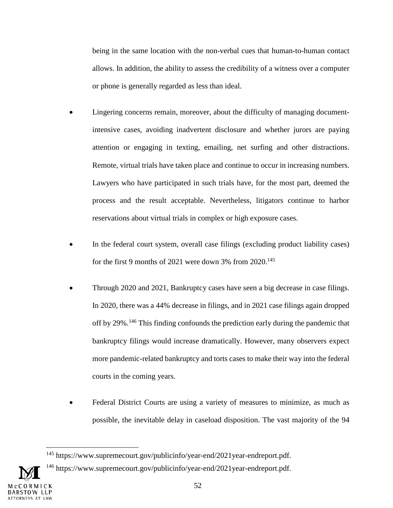being in the same location with the non-verbal cues that human-to-human contact allows. In addition, the ability to assess the credibility of a witness over a computer or phone is generally regarded as less than ideal.

- Lingering concerns remain, moreover, about the difficulty of managing documentintensive cases, avoiding inadvertent disclosure and whether jurors are paying attention or engaging in texting, emailing, net surfing and other distractions. Remote, virtual trials have taken place and continue to occur in increasing numbers. Lawyers who have participated in such trials have, for the most part, deemed the process and the result acceptable. Nevertheless, litigators continue to harbor reservations about virtual trials in complex or high exposure cases.
- In the federal court system, overall case filings (excluding product liability cases) for the first 9 months of 2021 were down 3% from 2020.<sup>145</sup>
- Through 2020 and 2021, Bankruptcy cases have seen a big decrease in case filings. In 2020, there was a 44% decrease in filings, and in 2021 case filings again dropped off by 29%.<sup>146</sup> This finding confounds the prediction early during the pandemic that bankruptcy filings would increase dramatically. However, many observers expect more pandemic-related bankruptcy and torts cases to make their way into the federal courts in the coming years.
- Federal District Courts are using a variety of measures to minimize, as much as possible, the inevitable delay in caseload disposition. The vast majority of the 94

<sup>145</sup> https://www.supremecourt.gov/publicinfo/year-end/2021year-endreport.pdf.

<sup>&</sup>lt;sup>146</sup> https://www.supremecourt.gov/publicinfo/year-end/2021year-endreport.pdf.